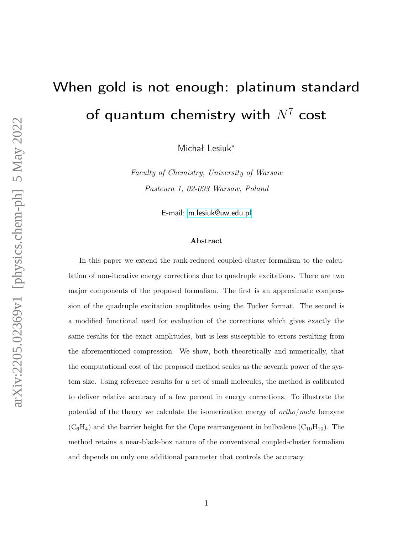# When gold is not enough: platinum standard of quantum chemistry with  $N^7$  cost

Michał Lesiuk<sup>∗</sup>

Faculty of Chemistry, University of Warsaw Pasteura 1, 02-093 Warsaw, Poland

E-mail:<m.lesiuk@uw.edu.pl>

#### Abstract

In this paper we extend the rank-reduced coupled-cluster formalism to the calculation of non-iterative energy corrections due to quadruple excitations. There are two major components of the proposed formalism. The first is an approximate compression of the quadruple excitation amplitudes using the Tucker format. The second is a modified functional used for evaluation of the corrections which gives exactly the same results for the exact amplitudes, but is less susceptible to errors resulting from the aforementioned compression. We show, both theoretically and numerically, that the computational cost of the proposed method scales as the seventh power of the system size. Using reference results for a set of small molecules, the method is calibrated to deliver relative accuracy of a few percent in energy corrections. To illustrate the potential of the theory we calculate the isomerization energy of  $ortho/meta$  benzyne  $(C_6H_4)$  and the barrier height for the Cope rearrangement in bullvalene  $(C_{10}H_{10})$ . The method retains a near-black-box nature of the conventional coupled-cluster formalism and depends on only one additional parameter that controls the accuracy.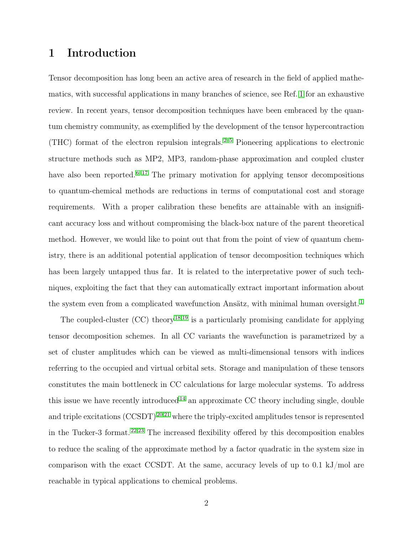## 1 Introduction

Tensor decomposition has long been an active area of research in the field of applied mathematics, with successful applications in many branches of science, see Ref. [1](#page-46-0) for an exhaustive review. In recent years, tensor decomposition techniques have been embraced by the quantum chemistry community, as exemplified by the development of the tensor hypercontraction (THC) format of the electron repulsion integrals.  $2-5$  $2-5$  Pioneering applications to electronic structure methods such as MP2, MP3, random-phase approximation and coupled cluster have also been reported.  $6-17$  $6-17$  The primary motivation for applying tensor decompositions to quantum-chemical methods are reductions in terms of computational cost and storage requirements. With a proper calibration these benefits are attainable with an insignificant accuracy loss and without compromising the black-box nature of the parent theoretical method. However, we would like to point out that from the point of view of quantum chemistry, there is an additional potential application of tensor decomposition techniques which has been largely untapped thus far. It is related to the interpretative power of such techniques, exploiting the fact that they can automatically extract important information about the system even from a complicated wavefunction Ansätz, with minimal human oversight.<sup>[1](#page-46-0)</sup>

The coupled-cluster  $(CC)$  theory  $18,19$  $18,19$  is a particularly promising candidate for applying tensor decomposition schemes. In all CC variants the wavefunction is parametrized by a set of cluster amplitudes which can be viewed as multi-dimensional tensors with indices referring to the occupied and virtual orbital sets. Storage and manipulation of these tensors constitutes the main bottleneck in CC calculations for large molecular systems. To address this issue we have recently introduced<sup>[14](#page-48-3)</sup> an approximate CC theory including single, double and triple excitations  $\text{(CCSDT)}^{20,21}$  $\text{(CCSDT)}^{20,21}$  $\text{(CCSDT)}^{20,21}$  $\text{(CCSDT)}^{20,21}$  where the triply-excited amplitudes tensor is represented in the Tucker-3 format.  $22,23$  $22,23$  The increased flexibility offered by this decomposition enables to reduce the scaling of the approximate method by a factor quadratic in the system size in comparison with the exact CCSDT. At the same, accuracy levels of up to 0.1 kJ/mol are reachable in typical applications to chemical problems.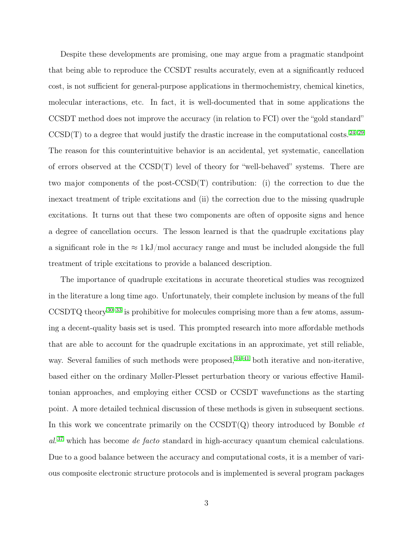Despite these developments are promising, one may argue from a pragmatic standpoint that being able to reproduce the CCSDT results accurately, even at a significantly reduced cost, is not sufficient for general-purpose applications in thermochemistry, chemical kinetics, molecular interactions, etc. In fact, it is well-documented that in some applications the CCSDT method does not improve the accuracy (in relation to FCI) over the "gold standard"  $CCSD(T)$  to a degree that would justify the drastic increase in the computational costs.  $24-29$  $24-29$ The reason for this counterintuitive behavior is an accidental, yet systematic, cancellation of errors observed at the  $CCSD(T)$  level of theory for "well-behaved" systems. There are two major components of the post-CCSD(T) contribution: (i) the correction to due the inexact treatment of triple excitations and (ii) the correction due to the missing quadruple excitations. It turns out that these two components are often of opposite signs and hence a degree of cancellation occurs. The lesson learned is that the quadruple excitations play a significant role in the  $\approx 1 \text{ kJ/mol}$  accuracy range and must be included alongside the full treatment of triple excitations to provide a balanced description.

The importance of quadruple excitations in accurate theoretical studies was recognized in the literature a long time ago. Unfortunately, their complete inclusion by means of the full CCSDTQ theory<sup>[30–](#page-49-4)[33](#page-50-0)</sup> is prohibitive for molecules comprising more than a few atoms, assuming a decent-quality basis set is used. This prompted research into more affordable methods that are able to account for the quadruple excitations in an approximate, yet still reliable, way. Several families of such methods were proposed,  $34-41$  $34-41$  both iterative and non-iterative, based either on the ordinary Møller-Plesset perturbation theory or various effective Hamiltonian approaches, and employing either CCSD or CCSDT wavefunctions as the starting point. A more detailed technical discussion of these methods is given in subsequent sections. In this work we concentrate primarily on the  $CCSDT(Q)$  theory introduced by Bomble *et* al.<sup>[37](#page-50-2)</sup> which has become de facto standard in high-accuracy quantum chemical calculations. Due to a good balance between the accuracy and computational costs, it is a member of various composite electronic structure protocols and is implemented is several program packages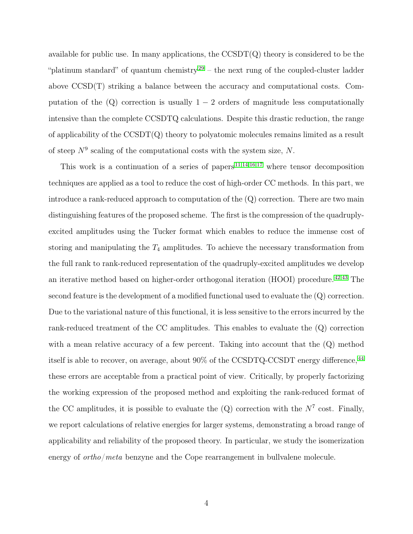available for public use. In many applications, the  $\text{CCSDT}(Q)$  theory is considered to be the "platinum standard" of quantum chemistry<sup>[29](#page-49-3)</sup> – the next rung of the coupled-cluster ladder above CCSD(T) striking a balance between the accuracy and computational costs. Computation of the  $(Q)$  correction is usually  $1 - 2$  orders of magnitude less computationally intensive than the complete CCSDTQ calculations. Despite this drastic reduction, the range of applicability of the CCSDT(Q) theory to polyatomic molecules remains limited as a result of steep  $N<sup>9</sup>$  scaling of the computational costs with the system size, N.

This work is a continuation of a series of papers  $11,14,16,17$  $11,14,16,17$  $11,14,16,17$  $11,14,16,17$  where tensor decomposition techniques are applied as a tool to reduce the cost of high-order CC methods. In this part, we introduce a rank-reduced approach to computation of the  $(Q)$  correction. There are two main distinguishing features of the proposed scheme. The first is the compression of the quadruplyexcited amplitudes using the Tucker format which enables to reduce the immense cost of storing and manipulating the  $T_4$  amplitudes. To achieve the necessary transformation from the full rank to rank-reduced representation of the quadruply-excited amplitudes we develop an iterative method based on higher-order orthogonal iteration (HOOI) procedure. [42,](#page-51-1)[43](#page-51-2) The second feature is the development of a modified functional used to evaluate the (Q) correction. Due to the variational nature of this functional, it is less sensitive to the errors incurred by the rank-reduced treatment of the CC amplitudes. This enables to evaluate the (Q) correction with a mean relative accuracy of a few percent. Taking into account that the  $(Q)$  method itself is able to recover, on average, about 90% of the CCSDTQ-CCSDT energy difference, [44](#page-51-3) these errors are acceptable from a practical point of view. Critically, by properly factorizing the working expression of the proposed method and exploiting the rank-reduced format of the CC amplitudes, it is possible to evaluate the  $(Q)$  correction with the  $N^7$  cost. Finally, we report calculations of relative energies for larger systems, demonstrating a broad range of applicability and reliability of the proposed theory. In particular, we study the isomerization energy of *ortho/meta* benzyne and the Cope rearrangement in bullvalene molecule.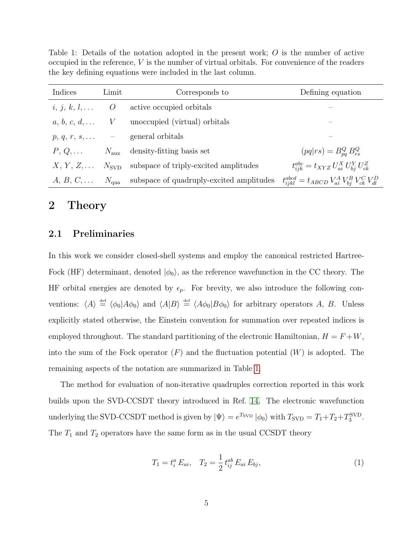| Indices                | Limit         | Corresponds to                                       | Defining equation                                                               |
|------------------------|---------------|------------------------------------------------------|---------------------------------------------------------------------------------|
| $i, j, k, l, \ldots$ O |               | active occupied orbitals                             |                                                                                 |
|                        |               | $a, b, c, d, \ldots$ V unoccupied (virtual) orbitals |                                                                                 |
| $p, q, r, s, \ldots$ - |               | general orbitals                                     |                                                                                 |
| $P, Q, \ldots$         |               | $N_{\text{aux}}$ density-fitting basis set           | $(pq rs) = B_{na}^Q B_{rs}^Q$                                                   |
| $X, Y, Z, \ldots$      |               | $N_{\rm SVD}$ subspace of triply-excited amplitudes  | $t_{ijk}^{abc} = t_{XYZ} U_{ai}^X U_{bi}^Y U_{ck}^Z$                            |
| $A, B, C, \ldots$      | $N_{\rm qua}$ | subspace of quadruply-excited amplitudes             | $t_{i\dot{\mathit{ikl}}}^{abcd} = t_{ABCD} V_{ai}^A V_{bi}^B V_{ck}^C V_{dl}^D$ |

<span id="page-4-0"></span>Table 1: Details of the notation adopted in the present work; O is the number of active occupied in the reference, V is the number of virtual orbitals. For convenience of the readers the key defining equations were included in the last column.

## 2 Theory

#### <span id="page-4-1"></span>2.1 Preliminaries

In this work we consider closed-shell systems and employ the canonical restricted Hartree-Fock (HF) determinant, denoted  $|\phi_0\rangle$ , as the reference wavefunction in the CC theory. The HF orbital energies are denoted by  $\epsilon_p$ . For brevity, we also introduce the following conventions:  $\langle A \rangle \stackrel{\text{def}}{=} \langle \phi_0 | A \phi_0 \rangle$  and  $\langle A | B \rangle \stackrel{\text{def}}{=} \langle A \phi_0 | B \phi_0 \rangle$  for arbitrary operators A, B. Unless explicitly stated otherwise, the Einstein convention for summation over repeated indices is employed throughout. The standard partitioning of the electronic Hamiltonian,  $H = F + W$ , into the sum of the Fock operator  $(F)$  and the fluctuation potential  $(W)$  is adopted. The remaining aspects of the notation are summarized in Table [1.](#page-4-0)

The method for evaluation of non-iterative quadruples correction reported in this work builds upon the SVD-CCSDT theory introduced in Ref. [14.](#page-48-3) The electronic wavefunction underlying the SVD-CCSDT method is given by  $|\Psi\rangle = e^{T_{\text{SVD}}}|{\phi_0}\rangle$  with  $T_{\text{SVD}} = T_1 + T_2 + T_3^{\text{SVD}}$ . The  $T_1$  and  $T_2$  operators have the same form as in the usual CCSDT theory

$$
T_1 = t_i^a E_{ai}, \quad T_2 = \frac{1}{2} t_{ij}^{ab} E_{ai} E_{bj}, \tag{1}
$$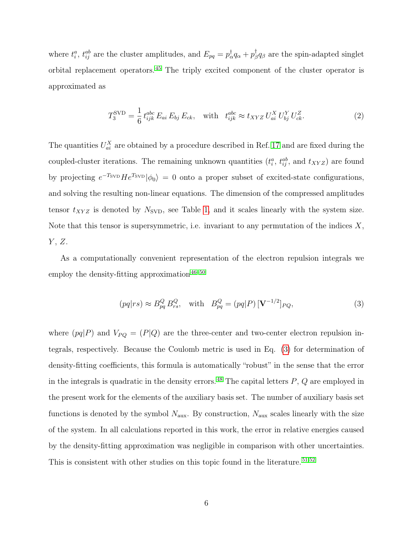where  $t_i^a$ ,  $t_{ij}^{ab}$  are the cluster amplitudes, and  $E_{pq} = p_\alpha^{\dagger} q_\alpha + p_\beta^{\dagger}$  $\frac{1}{\beta}q_{\beta}$  are the spin-adapted singlet orbital replacement operators. [45](#page-51-4) The triply excited component of the cluster operator is approximated as

<span id="page-5-1"></span>
$$
T_3^{\text{SVD}} = \frac{1}{6} t_{ijk}^{abc} E_{ai} E_{bj} E_{ck}, \text{ with } t_{ijk}^{abc} \approx t_{XYZ} U_{ai}^X U_{bj}^Y U_{ck}^Z.
$$
 (2)

The quantities  $U_{ai}^X$  are obtained by a procedure described in Ref. [17](#page-48-0) and are fixed during the coupled-cluster iterations. The remaining unknown quantities  $(t_i^a, t_{ij}^{ab}, \text{ and } t_{XYZ})$  are found by projecting  $e^{-T_{\text{SVD}}}He^{T_{\text{SVD}}}\vert \phi_0\rangle = 0$  onto a proper subset of excited-state configurations, and solving the resulting non-linear equations. The dimension of the compressed amplitudes tensor  $t_{XYZ}$  is denoted by  $N_{SVD}$ , see Table [1,](#page-4-0) and it scales linearly with the system size. Note that this tensor is supersymmetric, i.e. invariant to any permutation of the indices  $X$ ,  $Y, Z.$ 

As a computationally convenient representation of the electron repulsion integrals we employ the density-fitting approximation  $46-50$  $46-50$ 

<span id="page-5-0"></span>
$$
(pq|rs) \approx B_{pq}^Q B_{rs}^Q, \quad \text{with} \quad B_{pq}^Q = (pq|P) \left[ \mathbf{V}^{-1/2} \right]_{PQ}, \tag{3}
$$

where  $(pq|P)$  and  $V_{PQ} = (P|Q)$  are the three-center and two-center electron repulsion integrals, respectively. Because the Coulomb metric is used in Eq. [\(3\)](#page-5-0) for determination of density-fitting coefficients, this formula is automatically "robust" in the sense that the error in the integrals is quadratic in the density errors.<sup>[48](#page-51-7)</sup> The capital letters  $P$ ,  $Q$  are employed in the present work for the elements of the auxiliary basis set. The number of auxiliary basis set functions is denoted by the symbol  $N_{\text{aux}}$ . By construction,  $N_{\text{aux}}$  scales linearly with the size of the system. In all calculations reported in this work, the error in relative energies caused by the density-fitting approximation was negligible in comparison with other uncertainties. This is consistent with other studies on this topic found in the literature. [51](#page-52-0)[,52](#page-52-1)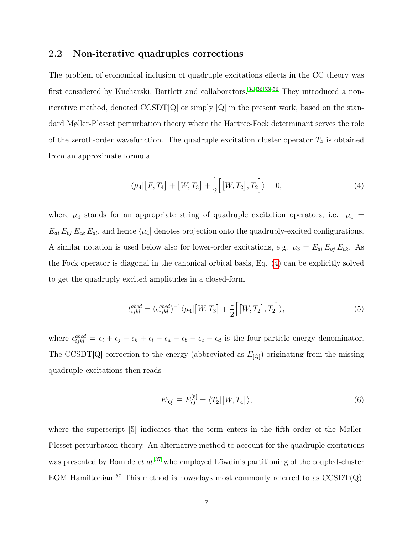#### <span id="page-6-3"></span>2.2 Non-iterative quadruples corrections

The problem of economical inclusion of quadruple excitations effects in the CC theory was first considered by Kucharski, Bartlett and collaborators. [34–](#page-50-1)[36](#page-50-3)[,53](#page-52-2)[–56](#page-52-3) They introduced a noniterative method, denoted CCSDT[Q] or simply [Q] in the present work, based on the standard Møller-Plesset perturbation theory where the Hartree-Fock determinant serves the role of the zeroth-order wavefunction. The quadruple excitation cluster operator  $T_4$  is obtained from an approximate formula

<span id="page-6-0"></span>
$$
\langle \mu_4 | [F, T_4] + [W, T_3] + \frac{1}{2} \Big[ [W, T_2], T_2 \Big] \rangle = 0, \tag{4}
$$

where  $\mu_4$  stands for an appropriate string of quadruple excitation operators, i.e.  $\mu_4$  =  $E_{ai} E_{bj} E_{ck} E_{dl}$ , and hence  $\langle \mu_4 |$  denotes projection onto the quadruply-excited configurations. A similar notation is used below also for lower-order excitations, e.g.  $\mu_3 = E_{ai} E_{bj} E_{ck}$ . As the Fock operator is diagonal in the canonical orbital basis, Eq. [\(4\)](#page-6-0) can be explicitly solved to get the quadruply excited amplitudes in a closed-form

$$
t_{ijkl}^{abcd} = (\epsilon_{ijkl}^{abcd})^{-1} \langle \mu_4 | [W, T_3] + \frac{1}{2} \Big[ [W, T_2], T_2 \Big] \rangle, \tag{5}
$$

where  $\epsilon_{ijkl}^{abcd} = \epsilon_i + \epsilon_j + \epsilon_k + \epsilon_l - \epsilon_a - \epsilon_b - \epsilon_c - \epsilon_d$  is the four-particle energy denominator. The CCSDT[Q] correction to the energy (abbreviated as  $E_{\text{[Q]}}$ ) originating from the missing quadruple excitations then reads

<span id="page-6-2"></span><span id="page-6-1"></span>
$$
E_{\text{[Q]}} \equiv E_{\text{Q}}^{\text{[5]}} = \langle T_2 | [W, T_4] \rangle,\tag{6}
$$

where the superscript [5] indicates that the term enters in the fifth order of the Møller-Plesset perturbation theory. An alternative method to account for the quadruple excitations was presented by Bomble  $et$   $al$ .<sup>[37](#page-50-2)</sup> who employed Löwdin's partitioning of the coupled-cluster EOM Hamiltonian.<sup>[57](#page-52-4)</sup> This method is nowadays most commonly referred to as  $\text{CCSDT}(Q)$ .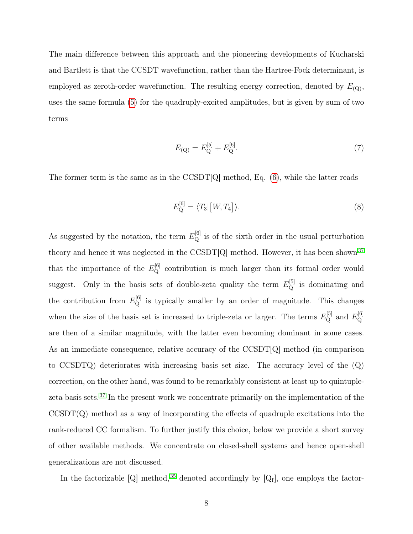The main difference between this approach and the pioneering developments of Kucharski and Bartlett is that the CCSDT wavefunction, rather than the Hartree-Fock determinant, is employed as zeroth-order wavefunction. The resulting energy correction, denoted by  $E_{(Q)}$ , uses the same formula [\(5\)](#page-6-1) for the quadruply-excited amplitudes, but is given by sum of two terms

<span id="page-7-0"></span>
$$
E_{\text{(Q)}} = E_{\text{Q}}^{[5]} + E_{\text{Q}}^{[6]}.
$$
\n<sup>(7)</sup>

The former term is the same as in the CCSDT[Q] method, Eq. [\(6\)](#page-6-2), while the latter reads

<span id="page-7-1"></span>
$$
E_{\mathcal{Q}}^{[6]} = \langle T_3 | [W, T_4] \rangle. \tag{8}
$$

As suggested by the notation, the term  $E_{\mathbf{Q}}^{[6]}$  is of the sixth order in the usual perturbation theory and hence it was neglected in the CCSDT $[Q]$  method. However, it has been shown<sup>[37](#page-50-2)</sup> that the importance of the  $E_{\mathbf{Q}}^{[6]}$  contribution is much larger than its formal order would suggest. Only in the basis sets of double-zeta quality the term  $E_{\mathbf{Q}}^{[5]}$  is dominating and the contribution from  $E_{\mathbf{Q}}^{[6]}$  is typically smaller by an order of magnitude. This changes when the size of the basis set is increased to triple-zeta or larger. The terms  $E_{\text{Q}}^{[5]}$  and  $E_{\text{Q}}^{[6]}$ Q are then of a similar magnitude, with the latter even becoming dominant in some cases. As an immediate consequence, relative accuracy of the CCSDT[Q] method (in comparison to CCSDTQ) deteriorates with increasing basis set size. The accuracy level of the (Q) correction, on the other hand, was found to be remarkably consistent at least up to quintuplezeta basis sets. [37](#page-50-2) In the present work we concentrate primarily on the implementation of the  $CCSDT(Q)$  method as a way of incorporating the effects of quadruple excitations into the rank-reduced CC formalism. To further justify this choice, below we provide a short survey of other available methods. We concentrate on closed-shell systems and hence open-shell generalizations are not discussed.

In the factorizable [Q] method,<sup>[35](#page-50-4)</sup> denoted accordingly by [Q<sub>f</sub>], one employs the factor-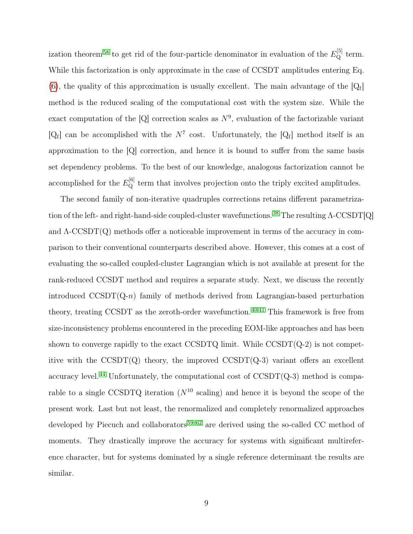ization theorem<sup>[58](#page-52-5)</sup> to get rid of the four-particle denominator in evaluation of the  $E_{\text{Q}}^{\text{[5]}}$  term. While this factorization is only approximate in the case of CCSDT amplitudes entering Eq. [\(6\)](#page-6-2), the quality of this approximation is usually excellent. The main advantage of the  $[Q_f]$ method is the reduced scaling of the computational cost with the system size. While the exact computation of the  $[Q]$  correction scales as  $N<sup>9</sup>$ , evaluation of the factorizable variant [Q<sub>f</sub>] can be accomplished with the  $N^7$  cost. Unfortunately, the [Q<sub>f</sub>] method itself is an approximation to the [Q] correction, and hence it is bound to suffer from the same basis set dependency problems. To the best of our knowledge, analogous factorization cannot be accomplished for the  $E_{\mathbf{Q}}^{[6]}$  term that involves projection onto the triply excited amplitudes.

The second family of non-iterative quadruples corrections retains different parametrization of the left- and right-hand-side coupled-cluster wavefunctions. [38](#page-50-5) The resulting Λ-CCSDT[Q] and Λ-CCSDT(Q) methods offer a noticeable improvement in terms of the accuracy in comparison to their conventional counterparts described above. However, this comes at a cost of evaluating the so-called coupled-cluster Lagrangian which is not available at present for the rank-reduced CCSDT method and requires a separate study. Next, we discuss the recently introduced  $CCSDT(Q-n)$  family of methods derived from Lagrangian-based perturbation theory, treating CCSDT as the zeroth-order wavefunction. [40](#page-50-6)[,41](#page-51-0) This framework is free from size-inconsistency problems encountered in the preceding EOM-like approaches and has been shown to converge rapidly to the exact CCSDTQ limit. While  $\text{CCSDT}(Q-2)$  is not competitive with the  $CCSDT(Q)$  theory, the improved  $CCSDT(Q-3)$  variant offers an excellent accuracy level.<sup>[44](#page-51-3)</sup> Unfortunately, the computational cost of  $\text{CCSDT}(Q-3)$  method is comparable to a single CCSDTQ iteration  $(N^{10} \text{ scaling})$  and hence it is beyond the scope of the present work. Last but not least, the renormalized and completely renormalized approaches developed by Piecuch and collaborators<sup>[59–](#page-52-6)[62](#page-53-0)</sup> are derived using the so-called CC method of moments. They drastically improve the accuracy for systems with significant multireference character, but for systems dominated by a single reference determinant the results are similar.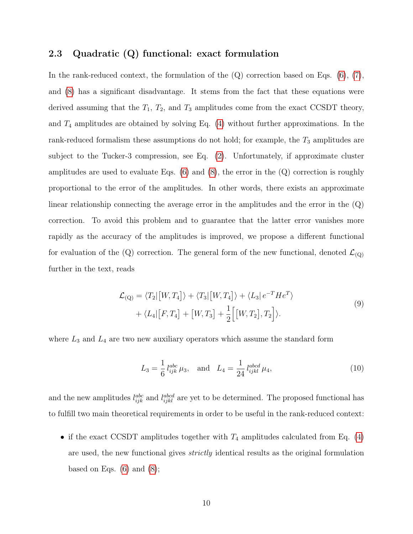#### <span id="page-9-1"></span>2.3 Quadratic (Q) functional: exact formulation

In the rank-reduced context, the formulation of the  $(Q)$  correction based on Eqs.  $(6)$ ,  $(7)$ , and [\(8\)](#page-7-1) has a significant disadvantage. It stems from the fact that these equations were derived assuming that the  $T_1$ ,  $T_2$ , and  $T_3$  amplitudes come from the exact CCSDT theory, and  $T_4$  amplitudes are obtained by solving Eq. [\(4\)](#page-6-0) without further approximations. In the rank-reduced formalism these assumptions do not hold; for example, the  $T_3$  amplitudes are subject to the Tucker-3 compression, see Eq.  $(2)$ . Unfortunately, if approximate cluster amplitudes are used to evaluate Eqs.  $(6)$  and  $(8)$ , the error in the  $(Q)$  correction is roughly proportional to the error of the amplitudes. In other words, there exists an approximate linear relationship connecting the average error in the amplitudes and the error in the (Q) correction. To avoid this problem and to guarantee that the latter error vanishes more rapidly as the accuracy of the amplitudes is improved, we propose a different functional for evaluation of the (Q) correction. The general form of the new functional, denoted  $\mathcal{L}_{(Q)}$ further in the text, reads

$$
\mathcal{L}_{\text{(Q)}} = \langle T_2 | [W, T_4] \rangle + \langle T_3 | [W, T_4] \rangle + \langle L_3 | e^{-T} H e^{T} \rangle \n+ \langle L_4 | [F, T_4] + [W, T_3] + \frac{1}{2} \Big[ [W, T_2], T_2 \Big] \rangle.
$$
\n(9)

where  $L_3$  and  $L_4$  are two new auxiliary operators which assume the standard form

<span id="page-9-0"></span>
$$
L_3 = \frac{1}{6} l_{ijk}^{abc} \mu_3, \text{ and } L_4 = \frac{1}{24} l_{ijkl}^{abcd} \mu_4,
$$
 (10)

and the new amplitudes  $l_{ijk}^{abc}$  and  $l_{ijkl}^{abcd}$  are yet to be determined. The proposed functional has to fulfill two main theoretical requirements in order to be useful in the rank-reduced context:

• if the exact CCSDT amplitudes together with  $T_4$  amplitudes calculated from Eq. [\(4\)](#page-6-0) are used, the new functional gives strictly identical results as the original formulation based on Eqs.  $(6)$  and  $(8)$ ;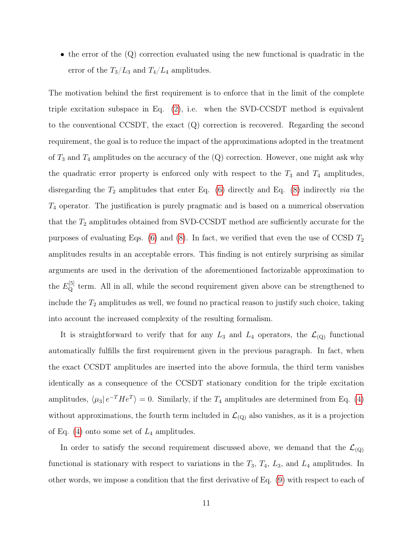• the error of the  $(Q)$  correction evaluated using the new functional is quadratic in the error of the  $T_3/L_3$  and  $T_4/L_4$  amplitudes.

The motivation behind the first requirement is to enforce that in the limit of the complete triple excitation subspace in Eq. [\(2\)](#page-5-1), i.e. when the SVD-CCSDT method is equivalent to the conventional CCSDT, the exact (Q) correction is recovered. Regarding the second requirement, the goal is to reduce the impact of the approximations adopted in the treatment of  $T_3$  and  $T_4$  amplitudes on the accuracy of the  $(Q)$  correction. However, one might ask why the quadratic error property is enforced only with respect to the  $T_3$  and  $T_4$  amplitudes, disregarding the  $T_2$  amplitudes that enter Eq. [\(6\)](#page-6-2) directly and Eq. [\(8\)](#page-7-1) indirectly *via* the  $T_4$  operator. The justification is purely pragmatic and is based on a numerical observation that the  $T_2$  amplitudes obtained from SVD-CCSDT method are sufficiently accurate for the purposes of evaluating Eqs. [\(6\)](#page-6-2) and [\(8\)](#page-7-1). In fact, we verified that even the use of CCSD  $T_2$ amplitudes results in an acceptable errors. This finding is not entirely surprising as similar arguments are used in the derivation of the aforementioned factorizable approximation to the  $E_{\mathbf{Q}}^{[5]}$  term. All in all, while the second requirement given above can be strengthened to include the  $T_2$  amplitudes as well, we found no practical reason to justify such choice, taking into account the increased complexity of the resulting formalism.

It is straightforward to verify that for any  $L_3$  and  $L_4$  operators, the  $\mathcal{L}_{\text{(Q)}}$  functional automatically fulfills the first requirement given in the previous paragraph. In fact, when the exact CCSDT amplitudes are inserted into the above formula, the third term vanishes identically as a consequence of the CCSDT stationary condition for the triple excitation amplitudes,  $\langle \mu_3 | e^{-T} H e^{T} \rangle = 0$ . Similarly, if the  $T_4$  amplitudes are determined from Eq. [\(4\)](#page-6-0) without approximations, the fourth term included in  $\mathcal{L}_{(Q)}$  also vanishes, as it is a projection of Eq.  $(4)$  onto some set of  $L_4$  amplitudes.

In order to satisfy the second requirement discussed above, we demand that the  $\mathcal{L}_{(Q)}$ functional is stationary with respect to variations in the  $T_3$ ,  $T_4$ ,  $L_3$ , and  $L_4$  amplitudes. In other words, we impose a condition that the first derivative of Eq. [\(9\)](#page-9-0) with respect to each of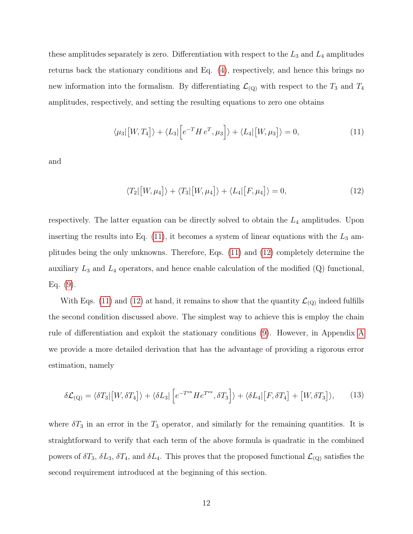these amplitudes separately is zero. Differentiation with respect to the  $L_3$  and  $L_4$  amplitudes returns back the stationary conditions and Eq. [\(4\)](#page-6-0), respectively, and hence this brings no new information into the formalism. By differentiating  $\mathcal{L}_{\text{(Q)}}$  with respect to the  $T_3$  and  $T_4$ amplitudes, respectively, and setting the resulting equations to zero one obtains

$$
\langle \mu_3 | [W, T_4] \rangle + \langle L_3 | \Big[ e^{-T} H e^{T}, \mu_3 \Big] \rangle + \langle L_4 | [W, \mu_3] \rangle = 0, \tag{11}
$$

and

<span id="page-11-1"></span><span id="page-11-0"></span>
$$
\langle T_2 | [W, \mu_4] \rangle + \langle T_3 | [W, \mu_4] \rangle + \langle L_4 | [F, \mu_4] \rangle = 0, \qquad (12)
$$

respectively. The latter equation can be directly solved to obtain the  $L_4$  amplitudes. Upon inserting the results into Eq.  $(11)$ , it becomes a system of linear equations with the  $L_3$  amplitudes being the only unknowns. Therefore, Eqs. [\(11\)](#page-11-0) and [\(12\)](#page-11-1) completely determine the auxiliary  $L_3$  and  $L_4$  operators, and hence enable calculation of the modified (Q) functional, Eq.  $(9)$ .

With Eqs. [\(11\)](#page-11-0) and [\(12\)](#page-11-1) at hand, it remains to show that the quantity  $\mathcal{L}_{\text{(Q)}}$  indeed fulfills the second condition discussed above. The simplest way to achieve this is employ the chain rule of differentiation and exploit the stationary conditions [\(9\)](#page-9-0). However, in Appendix [A](#page-63-0) we provide a more detailed derivation that has the advantage of providing a rigorous error estimation, namely

<span id="page-11-2"></span>
$$
\delta \mathcal{L}_{\text{(Q)}} = \langle \delta T_3 | [W, \delta T_4] \rangle + \langle \delta L_3 | \left[ e^{-T^{\text{ex}}} H e^{T^{\text{ex}}}, \delta T_3 \right] \rangle + \langle \delta L_4 | [F, \delta T_4] + [W, \delta T_3] \rangle, \tag{13}
$$

where  $\delta T_3$  in an error in the  $T_3$  operator, and similarly for the remaining quantities. It is straightforward to verify that each term of the above formula is quadratic in the combined powers of  $\delta T_3$ ,  $\delta L_3$ ,  $\delta T_4$ , and  $\delta L_4$ . This proves that the proposed functional  $\mathcal{L}_{(Q)}$  satisfies the second requirement introduced at the beginning of this section.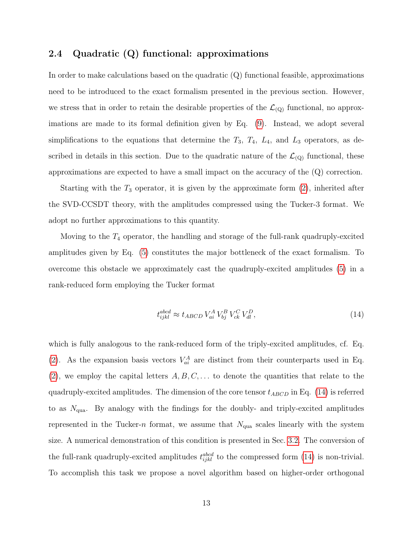#### <span id="page-12-1"></span>2.4 Quadratic (Q) functional: approximations

In order to make calculations based on the quadratic  $(Q)$  functional feasible, approximations need to be introduced to the exact formalism presented in the previous section. However, we stress that in order to retain the desirable properties of the  $\mathcal{L}_{(Q)}$  functional, no approximations are made to its formal definition given by Eq. [\(9\)](#page-9-0). Instead, we adopt several simplifications to the equations that determine the  $T_3$ ,  $T_4$ ,  $L_4$ , and  $L_3$  operators, as described in details in this section. Due to the quadratic nature of the  $\mathcal{L}_{(Q)}$  functional, these approximations are expected to have a small impact on the accuracy of the (Q) correction.

Starting with the  $T_3$  operator, it is given by the approximate form  $(2)$ , inherited after the SVD-CCSDT theory, with the amplitudes compressed using the Tucker-3 format. We adopt no further approximations to this quantity.

Moving to the  $T_4$  operator, the handling and storage of the full-rank quadruply-excited amplitudes given by Eq. [\(5\)](#page-6-1) constitutes the major bottleneck of the exact formalism. To overcome this obstacle we approximately cast the quadruply-excited amplitudes [\(5\)](#page-6-1) in a rank-reduced form employing the Tucker format

<span id="page-12-0"></span>
$$
t_{ijkl}^{abcd} \approx t_{ABCD} V_{ai}^A V_{bj}^B V_{ck}^C V_{dl}^D,\tag{14}
$$

which is fully analogous to the rank-reduced form of the triply-excited amplitudes, cf. Eq. [\(2\)](#page-5-1). As the expansion basis vectors  $V_{ai}^A$  are distinct from their counterparts used in Eq. [\(2\)](#page-5-1), we employ the capital letters  $A, B, C, \ldots$  to denote the quantities that relate to the quadruply-excited amplitudes. The dimension of the core tensor  $t_{ABCD}$  in Eq. [\(14\)](#page-12-0) is referred to as  $N_{\text{qua}}$ . By analogy with the findings for the doubly- and triply-excited amplitudes represented in the Tucker-n format, we assume that  $N_{\text{qua}}$  scales linearly with the system size. A numerical demonstration of this condition is presented in Sec. [3.2.](#page-23-0) The conversion of the full-rank quadruply-excited amplitudes  $t_{ijkl}^{abcd}$  to the compressed form [\(14\)](#page-12-0) is non-trivial. To accomplish this task we propose a novel algorithm based on higher-order orthogonal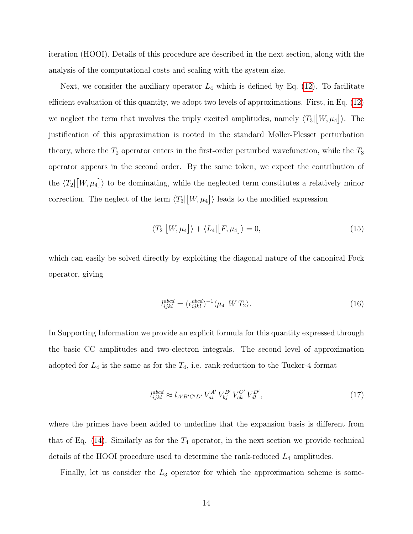iteration (HOOI). Details of this procedure are described in the next section, along with the analysis of the computational costs and scaling with the system size.

Next, we consider the auxiliary operator  $L_4$  which is defined by Eq. [\(12\)](#page-11-1). To facilitate efficient evaluation of this quantity, we adopt two levels of approximations. First, in Eq. [\(12\)](#page-11-1) we neglect the term that involves the triply excited amplitudes, namely  $\langle T_3 | [W, \mu_4] \rangle$ . The justification of this approximation is rooted in the standard Møller-Plesset perturbation theory, where the  $T_2$  operator enters in the first-order perturbed wavefunction, while the  $T_3$ operator appears in the second order. By the same token, we expect the contribution of the  $\langle T_2 | [W, \mu_4] \rangle$  to be dominating, while the neglected term constitutes a relatively minor correction. The neglect of the term  $\langle T_3 | [W, \mu_4] \rangle$  leads to the modified expression

<span id="page-13-0"></span>
$$
\langle T_2 | [W, \mu_4] \rangle + \langle L_4 | [F, \mu_4] \rangle = 0,\tag{15}
$$

which can easily be solved directly by exploiting the diagonal nature of the canonical Fock operator, giving

$$
l_{ijkl}^{abcd} = (\epsilon_{ijkl}^{abcd})^{-1} \langle \mu_4 | W T_2 \rangle.
$$
 (16)

In Supporting Information we provide an explicit formula for this quantity expressed through the basic CC amplitudes and two-electron integrals. The second level of approximation adopted for  $L_4$  is the same as for the  $T_4$ , i.e. rank-reduction to the Tucker-4 format

<span id="page-13-1"></span>
$$
l_{ijkl}^{abcd} \approx l_{A'B'C'D'} V_{ai}^{A'} V_{bj}^{B'} V_{ck}^{C'} V_{dl}^{D'},
$$
\n(17)

where the primes have been added to underline that the expansion basis is different from that of Eq. [\(14\)](#page-12-0). Similarly as for the  $T_4$  operator, in the next section we provide technical details of the HOOI procedure used to determine the rank-reduced  $L_4$  amplitudes.

Finally, let us consider the  $L_3$  operator for which the approximation scheme is some-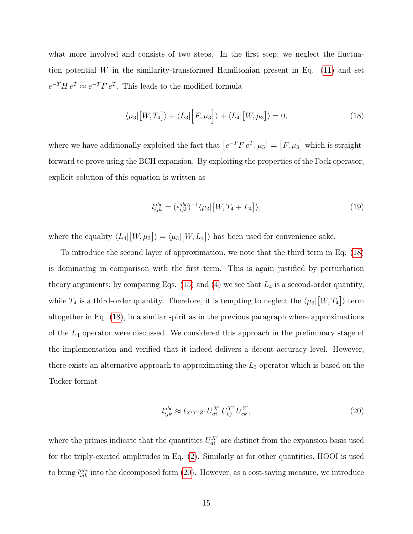what more involved and consists of two steps. In the first step, we neglect the fluctuation potential W in the similarity-transformed Hamiltonian present in Eq.  $(11)$  and set  $e^{-T}H e^{T} \approx e^{-T}F e^{T}$ . This leads to the modified formula

$$
\langle \mu_3 | [W, T_4] \rangle + \langle L_3 | [F, \mu_3] \rangle + \langle L_4 | [W, \mu_3] \rangle = 0, \qquad (18)
$$

where we have additionally exploited the fact that  $\left[e^{-T}F e^T, \mu_3\right] = \left[F, \mu_3\right]$  which is straightforward to prove using the BCH expansion. By exploiting the properties of the Fock operator, explicit solution of this equation is written as

<span id="page-14-2"></span><span id="page-14-0"></span>
$$
l_{ijk}^{abc} = (\epsilon_{ijk}^{abc})^{-1} \langle \mu_3 | [W, T_4 + L_4] \rangle, \tag{19}
$$

where the equality  $\langle L_4 | [W, \mu_3] \rangle = \langle \mu_3 | [W, L_4] \rangle$  has been used for convenience sake.

To introduce the second layer of approximation, we note that the third term in Eq. [\(18\)](#page-14-0) is dominating in comparison with the first term. This is again justified by perturbation theory arguments; by comparing Eqs.  $(15)$  and  $(4)$  we see that  $L_4$  is a second-order quantity, while  $T_4$  is a third-order quantity. Therefore, it is tempting to neglect the  $\langle \mu_3 | [W, T_4] \rangle$  term altogether in Eq. [\(18\)](#page-14-0), in a similar spirit as in the previous paragraph where approximations of the  $L_4$  operator were discussed. We considered this approach in the preliminary stage of the implementation and verified that it indeed delivers a decent accuracy level. However, there exists an alternative approach to approximating the  $L_3$  operator which is based on the Tucker format

<span id="page-14-1"></span>
$$
l_{ijk}^{abc} \approx l_{X'Y'Z'} U_{ai}^{X'} U_{bj}^{Y'} U_{ck}^{Z'},
$$
\n(20)

where the primes indicate that the quantities  $U_{ai}^{X'}$  are distinct from the expansion basis used for the triply-excited amplitudes in Eq. [\(2\)](#page-5-1). Similarly as for other quantities, HOOI is used to bring  $l_{ijk}^{abc}$  into the decomposed form [\(20\)](#page-14-1). However, as a cost-saving measure, we introduce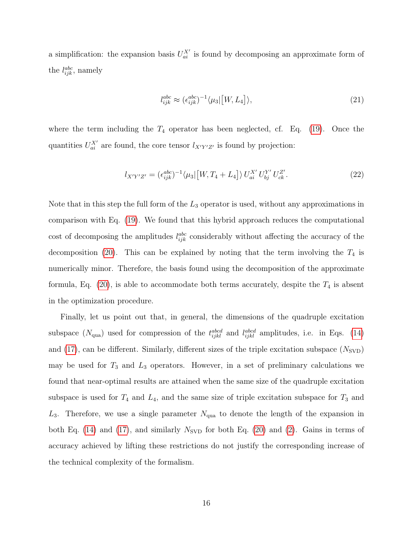a simplification: the expansion basis  $U_{ai}^{X'}$  is found by decomposing an approximate form of the  $l_{ijk}^{abc}$ , namely

$$
l_{ijk}^{abc} \approx (\epsilon_{ijk}^{abc})^{-1} \langle \mu_3 | [W, L_4] \rangle, \tag{21}
$$

where the term including the  $T_4$  operator has been neglected, cf. Eq. [\(19\)](#page-14-2). Once the quantities  $U_{ai}^{X'}$  are found, the core tensor  $l_{X'Y'Z'}$  is found by projection:

$$
l_{X'Y'Z'} = (\epsilon_{ijk}^{abc})^{-1} \langle \mu_3 | [W, T_4 + L_4] \rangle U_{ai}^{X'} U_{bj}^{Y'} U_{ck}^{Z'}.
$$
 (22)

Note that in this step the full form of the  $L_3$  operator is used, without any approximations in comparison with Eq. [\(19\)](#page-14-2). We found that this hybrid approach reduces the computational cost of decomposing the amplitudes  $l_{ijk}^{abc}$  considerably without affecting the accuracy of the decomposition [\(20\)](#page-14-1). This can be explained by noting that the term involving the  $T_4$  is numerically minor. Therefore, the basis found using the decomposition of the approximate formula, Eq. [\(20\)](#page-14-1), is able to accommodate both terms accurately, despite the  $T_4$  is absent in the optimization procedure.

Finally, let us point out that, in general, the dimensions of the quadruple excitation subspace  $(N_{\text{qua}})$  used for compression of the  $t_{ijkl}^{abcd}$  and  $l_{ijkl}^{abcd}$  amplitudes, i.e. in Eqs. [\(14\)](#page-12-0) and [\(17\)](#page-13-1), can be different. Similarly, different sizes of the triple excitation subspace  $(N_{\text{SVD}})$ may be used for  $T_3$  and  $L_3$  operators. However, in a set of preliminary calculations we found that near-optimal results are attained when the same size of the quadruple excitation subspace is used for  $T_4$  and  $L_4$ , and the same size of triple excitation subspace for  $T_3$  and  $L_3$ . Therefore, we use a single parameter  $N_{\text{qua}}$  to denote the length of the expansion in both Eq. [\(14\)](#page-12-0) and [\(17\)](#page-13-1), and similarly  $N_{\rm SVD}$  for both Eq. [\(20\)](#page-14-1) and [\(2\)](#page-5-1). Gains in terms of accuracy achieved by lifting these restrictions do not justify the corresponding increase of the technical complexity of the formalism.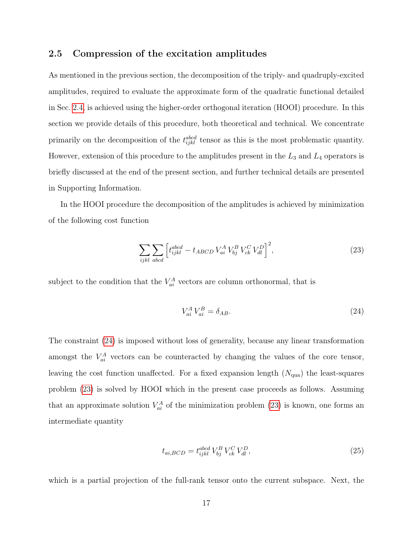#### <span id="page-16-3"></span>2.5 Compression of the excitation amplitudes

As mentioned in the previous section, the decomposition of the triply- and quadruply-excited amplitudes, required to evaluate the approximate form of the quadratic functional detailed in Sec. [2.4,](#page-12-1) is achieved using the higher-order orthogonal iteration (HOOI) procedure. In this section we provide details of this procedure, both theoretical and technical. We concentrate primarily on the decomposition of the  $t_{ijkl}^{abcd}$  tensor as this is the most problematic quantity. However, extension of this procedure to the amplitudes present in the  $L_3$  and  $L_4$  operators is briefly discussed at the end of the present section, and further technical details are presented in Supporting Information.

In the HOOI procedure the decomposition of the amplitudes is achieved by minimization of the following cost function

$$
\sum_{ijkl} \sum_{abcd} \left[ t_{ijkl}^{abcd} - t_{ABCD} \, V_{ai}^A \, V_{bj}^B \, V_{ck}^C \, V_{dl}^D \right]^2, \tag{23}
$$

subject to the condition that the  $V_{ai}^A$  vectors are column orthonormal, that is

<span id="page-16-1"></span><span id="page-16-0"></span>
$$
V_{ai}^A V_{ai}^B = \delta_{AB}.\tag{24}
$$

The constraint [\(24\)](#page-16-0) is imposed without loss of generality, because any linear transformation amongst the  $V_{ai}^A$  vectors can be counteracted by changing the values of the core tensor, leaving the cost function unaffected. For a fixed expansion length  $(N_{\text{qua}})$  the least-squares problem [\(23\)](#page-16-1) is solved by HOOI which in the present case proceeds as follows. Assuming that an approximate solution  $V_{ai}^A$  of the minimization problem [\(23\)](#page-16-1) is known, one forms an intermediate quantity

<span id="page-16-2"></span>
$$
t_{ai,BCD} = t_{ijkl}^{abcd} V_{bj}^B V_{ck}^C V_{dl}^D,\tag{25}
$$

which is a partial projection of the full-rank tensor onto the current subspace. Next, the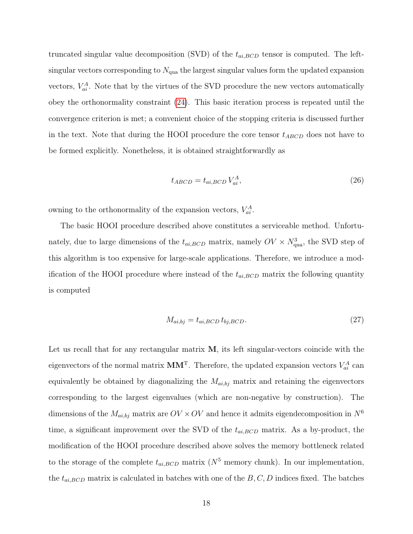truncated singular value decomposition (SVD) of the  $t_{ai,BCD}$  tensor is computed. The leftsingular vectors corresponding to  $N_{\text{qua}}$  the largest singular values form the updated expansion vectors,  $V_{ai}^A$ . Note that by the virtues of the SVD procedure the new vectors automatically obey the orthonormality constraint [\(24\)](#page-16-0). This basic iteration process is repeated until the convergence criterion is met; a convenient choice of the stopping criteria is discussed further in the text. Note that during the HOOI procedure the core tensor  $t_{ABCD}$  does not have to be formed explicitly. Nonetheless, it is obtained straightforwardly as

$$
t_{ABCD} = t_{ai,BCD} V_{ai}^A,\tag{26}
$$

owning to the orthonormality of the expansion vectors,  $V_{ai}^A$ .

The basic HOOI procedure described above constitutes a serviceable method. Unfortunately, due to large dimensions of the  $t_{ai,BCD}$  matrix, namely  $OV \times N_{\text{qua}}^3$ , the SVD step of this algorithm is too expensive for large-scale applications. Therefore, we introduce a modification of the HOOI procedure where instead of the  $t_{ai,BCD}$  matrix the following quantity is computed

<span id="page-17-0"></span>
$$
M_{ai,bj} = t_{ai,BCD} t_{bj,BCD}.\tag{27}
$$

Let us recall that for any rectangular matrix M, its left singular-vectors coincide with the eigenvectors of the normal matrix  $MM<sup>T</sup>$ . Therefore, the updated expansion vectors  $V<sub>ai</sub><sup>A</sup>$  can equivalently be obtained by diagonalizing the  $M_{ai,bj}$  matrix and retaining the eigenvectors corresponding to the largest eigenvalues (which are non-negative by construction). The dimensions of the  $M_{ai,bj}$  matrix are  $OV \times OV$  and hence it admits eigendecomposition in  $N^6$ time, a significant improvement over the SVD of the  $t_{ai,BCD}$  matrix. As a by-product, the modification of the HOOI procedure described above solves the memory bottleneck related to the storage of the complete  $t_{ai,BCD}$  matrix  $(N^5$  memory chunk). In our implementation, the  $t_{ai,BCD}$  matrix is calculated in batches with one of the  $B, C, D$  indices fixed. The batches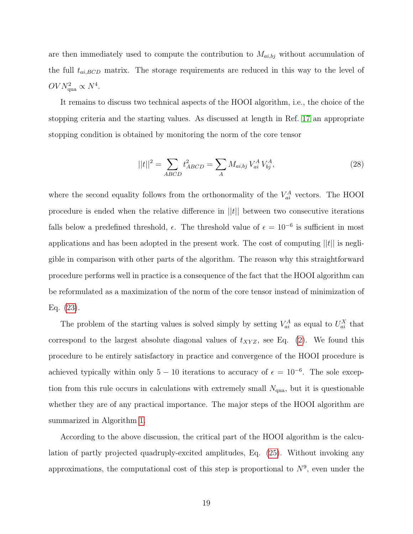are then immediately used to compute the contribution to  $M_{ai,bj}$  without accumulation of the full  $t_{ai,BCD}$  matrix. The storage requirements are reduced in this way to the level of  $OVN_{\text{qua}}^2 \propto N^4$ .

It remains to discuss two technical aspects of the HOOI algorithm, i.e., the choice of the stopping criteria and the starting values. As discussed at length in Ref. [17](#page-48-0) an appropriate stopping condition is obtained by monitoring the norm of the core tensor

<span id="page-18-0"></span>
$$
||t||^2 = \sum_{ABCD} t_{ABCD}^2 = \sum_A M_{ai,bj} V_{ai}^A V_{bj}^A,
$$
\n(28)

where the second equality follows from the orthonormality of the  $V_{ai}^A$  vectors. The HOOI procedure is ended when the relative difference in  $||t||$  between two consecutive iterations falls below a predefined threshold,  $\epsilon$ . The threshold value of  $\epsilon = 10^{-6}$  is sufficient in most applications and has been adopted in the present work. The cost of computing  $||t||$  is negligible in comparison with other parts of the algorithm. The reason why this straightforward procedure performs well in practice is a consequence of the fact that the HOOI algorithm can be reformulated as a maximization of the norm of the core tensor instead of minimization of Eq. [\(23\)](#page-16-1).

The problem of the starting values is solved simply by setting  $V_{ai}^A$  as equal to  $U_{ai}^X$  that correspond to the largest absolute diagonal values of  $t_{XYZ}$ , see Eq. [\(2\)](#page-5-1). We found this procedure to be entirely satisfactory in practice and convergence of the HOOI procedure is achieved typically within only  $5 - 10$  iterations to accuracy of  $\epsilon = 10^{-6}$ . The sole exception from this rule occurs in calculations with extremely small  $N_{\text{qua}}$ , but it is questionable whether they are of any practical importance. The major steps of the HOOI algorithm are summarized in Algorithm [1.](#page-19-0)

According to the above discussion, the critical part of the HOOI algorithm is the calculation of partly projected quadruply-excited amplitudes, Eq. [\(25\)](#page-16-2). Without invoking any approximations, the computational cost of this step is proportional to  $N<sup>9</sup>$ , even under the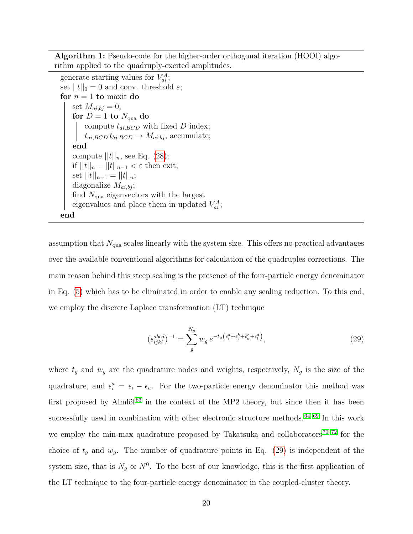Algorithm 1: Pseudo-code for the higher-order orthogonal iteration (HOOI) algorithm applied to the quadruply-excited amplitudes.

generate starting values for  $V_{ai}^A$ ; set  $||t||_0 = 0$  and conv. threshold  $\varepsilon$ ; for  $n = 1$  to maxit do set  $M_{ai,bj} = 0;$ for  $D=1$  to  $N_{\rm qua}$  do compute  $t_{ai,BCD}$  with fixed D index;  $t_{ai,BCD} t_{bj,BCD} \rightarrow M_{ai,bj}$ , accumulate; end compute  $||t||_n$ , see Eq. [\(28\)](#page-18-0); if  $||t||_n - ||t||_{n-1} < \varepsilon$  then exit; set  $||t||_{n-1} = ||t||_n;$ diagonalize  $M_{ai,bj}$ ; find  $N_{\text{qua}}$  eigenvectors with the largest eigenvalues and place them in updated  $V_{ai}^A$ ; end

<span id="page-19-0"></span>assumption that  $N_{\text{qua}}$  scales linearly with the system size. This offers no practical advantages over the available conventional algorithms for calculation of the quadruples corrections. The main reason behind this steep scaling is the presence of the four-particle energy denominator in Eq. [\(5\)](#page-6-1) which has to be eliminated in order to enable any scaling reduction. To this end, we employ the discrete Laplace transformation (LT) technique

<span id="page-19-1"></span>
$$
(\epsilon_{ijkl}^{abcd})^{-1} = \sum_{g}^{N_g} w_g \, e^{-t_g \left(\epsilon_i^a + \epsilon_j^b + \epsilon_k^c + \epsilon_l^d\right)},\tag{29}
$$

where  $t_g$  and  $w_g$  are the quadrature nodes and weights, respectively,  $N_g$  is the size of the quadrature, and  $\epsilon_i^a = \epsilon_i - \epsilon_a$ . For the two-particle energy denominator this method was first proposed by Almlöf<sup> $63$ </sup> in the context of the MP2 theory, but since then it has been successfully used in combination with other electronic structure methods.  $64-69$  $64-69$  In this work we employ the min-max quadrature proposed by Takatsuka and collaborators  $70-72$  $70-72$  for the choice of  $t_g$  and  $w_g$ . The number of quadrature points in Eq. [\(29\)](#page-19-1) is independent of the system size, that is  $N_g \propto N^0$ . To the best of our knowledge, this is the first application of the LT technique to the four-particle energy denominator in the coupled-cluster theory.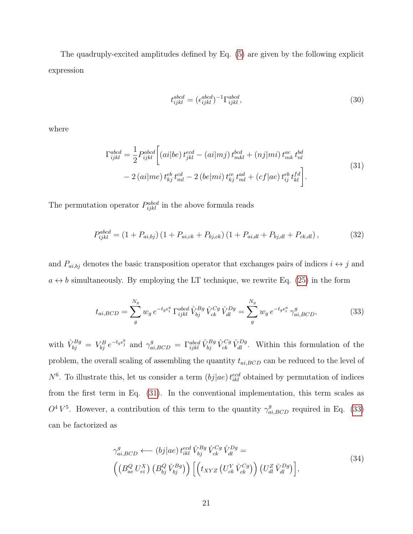The quadruply-excited amplitudes defined by Eq. [\(5\)](#page-6-1) are given by the following explicit expression

<span id="page-20-0"></span>
$$
t_{ijkl}^{abcd} = (\epsilon_{ijkl}^{abcd})^{-1} \Gamma_{ijkl}^{abcd}, \tag{30}
$$

where

$$
\Gamma_{ijkl}^{abcd} = \frac{1}{2} P_{ijkl}^{abcd} \left[ (ai|be) t_{jkl}^{ecd} - (ai|mj) t_{mkl}^{bcd} + (nj|mi) t_{mk}^{ac} t_{nl}^{bd} \right. \n- 2 (ai|me) t_{kj}^{eb} t_{ml}^{cd} - 2 (be|mi) t_{kj}^{ce} t_{ml}^{ad} + (cf|ae) t_{ij}^{eb} t_{kl}^{fd} \right].
$$
\n(31)

The permutation operator  $P_{ijkl}^{abcd}$  in the above formula reads

$$
P_{ijkl}^{abcd} = (1 + P_{ai,bj})(1 + P_{ai,ck} + P_{bj,ck})(1 + P_{ai,dl} + P_{bj,dl} + P_{ck,dl}),
$$
\n(32)

and  $P_{ai,bj}$  denotes the basic transposition operator that exchanges pairs of indices  $i \leftrightarrow j$  and  $a \leftrightarrow b$  simultaneously. By employing the LT technique, we rewrite Eq. [\(25\)](#page-16-2) in the form

<span id="page-20-1"></span>
$$
t_{ai,BCD} = \sum_{g}^{N_g} w_g \, e^{-t_g \epsilon_i^a} \, \Gamma_{ijkl}^{abcd} \, \hat{V}_{bj}^{Bg} \, \hat{V}_{ck}^{Cg} \, \hat{V}_{dl}^{Dg} = \sum_{g}^{N_g} w_g \, e^{-t_g \epsilon_i^a} \, \gamma_{ai,BCD}^g,\tag{33}
$$

with  $\hat{V}_{bj}^{Bg} = V_{bj}^{B} e^{-t_g c_j^b}$  and  $\gamma_{ai,BCD}^g = \Gamma_{ijkl}^{abcd} \hat{V}_{bj}^{Bg} \hat{V}_{ck}^{Cg} \hat{V}_{dl}^{Dg}$ . Within this formulation of the problem, the overall scaling of assembling the quantity  $t_{ai,BCD}$  can be reduced to the level of  $N^6$ . To illustrate this, let us consider a term  $(bj|ae) t_{ikl}^{ecd}$  obtained by permutation of indices from the first term in Eq. [\(31\)](#page-20-0). In the conventional implementation, this term scales as  $O^4V^5$ . However, a contribution of this term to the quantity  $\gamma^g_{ai,BCD}$  required in Eq. [\(33\)](#page-20-1) can be factorized as

$$
\gamma_{ai,BCD}^g \longleftarrow (bj|ae) t_{ikl}^{ecd} \hat{V}_{bj}^{Bg} \hat{V}_{ck}^{Cg} \hat{V}_{dl}^{Dg} =
$$
\n
$$
\left( \left( B_{ae}^Q U_{ei}^X \right) \left( B_{bj}^Q \hat{V}_{bj}^{Bg} \right) \right) \left[ \left( t_{XYZ} \left( U_{ck}^Y \hat{V}_{ck}^{Cg} \right) \right) \left( U_{dl}^Z \hat{V}_{dl}^{Dg} \right) \right],
$$
\n(34)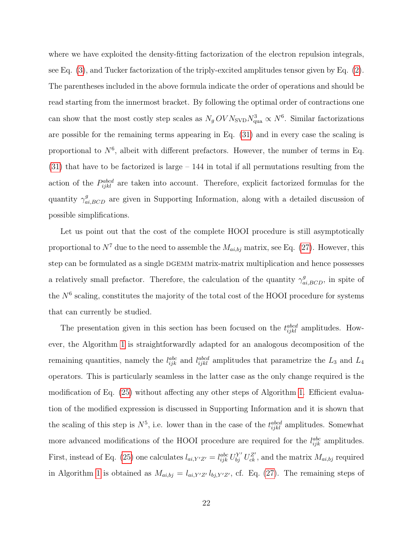where we have exploited the density-fitting factorization of the electron repulsion integrals, see Eq. [\(3\)](#page-5-0), and Tucker factorization of the triply-excited amplitudes tensor given by Eq. [\(2\)](#page-5-1). The parentheses included in the above formula indicate the order of operations and should be read starting from the innermost bracket. By following the optimal order of contractions one can show that the most costly step scales as  $N_g OVN_{SVD}N_{\text{qua}}^3 \propto N^6$ . Similar factorizations are possible for the remaining terms appearing in Eq. [\(31\)](#page-20-0) and in every case the scaling is proportional to  $N^6$ , albeit with different prefactors. However, the number of terms in Eq. [\(31\)](#page-20-0) that have to be factorized is large – 144 in total if all permutations resulting from the action of the  $P_{ijkl}^{abcd}$  are taken into account. Therefore, explicit factorized formulas for the quantity  $\gamma_{ai,BCD}^g$  are given in Supporting Information, along with a detailed discussion of possible simplifications.

Let us point out that the cost of the complete HOOI procedure is still asymptotically proportional to  $N^7$  due to the need to assemble the  $M_{ai,bj}$  matrix, see Eq. [\(27\)](#page-17-0). However, this step can be formulated as a single DGEMM matrix-matrix multiplication and hence possesses a relatively small prefactor. Therefore, the calculation of the quantity  $\gamma_{ai,BCD}^g$ , in spite of the  $N<sup>6</sup>$  scaling, constitutes the majority of the total cost of the HOOI procedure for systems that can currently be studied.

The presentation given in this section has been focused on the  $t_{ijkl}^{abcd}$  amplitudes. However, the Algorithm [1](#page-19-0) is straightforwardly adapted for an analogous decomposition of the remaining quantities, namely the  $l_{ijk}^{abc}$  and  $l_{ijkl}^{abcd}$  amplitudes that parametrize the  $L_3$  and  $L_4$ operators. This is particularly seamless in the latter case as the only change required is the modification of Eq. [\(25\)](#page-16-2) without affecting any other steps of Algorithm [1.](#page-19-0) Efficient evaluation of the modified expression is discussed in Supporting Information and it is shown that the scaling of this step is  $N^5$ , i.e. lower than in the case of the  $t_{ijkl}^{abcd}$  amplitudes. Somewhat more advanced modifications of the HOOI procedure are required for the  $l_{ijk}^{abc}$  amplitudes. First, instead of Eq. [\(25\)](#page-16-2) one calculates  $l_{ai,Y'Z'} = l_{ijk}^{abc} U_{bj}^{Y'} U_{ck}^{Z'}$ , and the matrix  $M_{ai,bj}$  required in Algorithm [1](#page-19-0) is obtained as  $M_{ai,bj} = l_{ai,Y'Z'} l_{bj,Y'Z'}$ , cf. Eq. [\(27\)](#page-17-0). The remaining steps of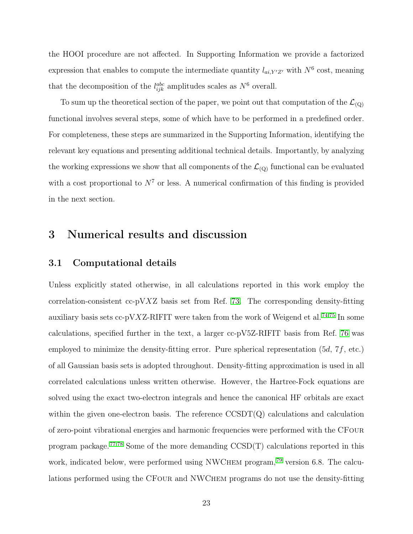the HOOI procedure are not affected. In Supporting Information we provide a factorized expression that enables to compute the intermediate quantity  $l_{ai,Y'Z'}$  with  $N^6$  cost, meaning that the decomposition of the  $l_{ijk}^{abc}$  amplitudes scales as  $N^6$  overall.

To sum up the theoretical section of the paper, we point out that computation of the  $\mathcal{L}_{(Q)}$ functional involves several steps, some of which have to be performed in a predefined order. For completeness, these steps are summarized in the Supporting Information, identifying the relevant key equations and presenting additional technical details. Importantly, by analyzing the working expressions we show that all components of the  $\mathcal{L}_{(Q)}$  functional can be evaluated with a cost proportional to  $N^7$  or less. A numerical confirmation of this finding is provided in the next section.

## 3 Numerical results and discussion

#### 3.1 Computational details

Unless explicitly stated otherwise, in all calculations reported in this work employ the correlation-consistent cc-pVXZ basis set from Ref.  $73$ . The corresponding density-fitting auxiliary basis sets cc-pVXZ-RIFIT were taken from the work of Weigend et al.<sup>[74,](#page-54-3)[75](#page-54-4)</sup> In some calculations, specified further in the text, a larger cc-pV5Z-RIFIT basis from Ref. [76](#page-54-5) was employed to minimize the density-fitting error. Pure spherical representation (5d, 7f, etc.) of all Gaussian basis sets is adopted throughout. Density-fitting approximation is used in all correlated calculations unless written otherwise. However, the Hartree-Fock equations are solved using the exact two-electron integrals and hence the canonical HF orbitals are exact within the given one-electron basis. The reference  $\text{CCSDT}(Q)$  calculations and calculation of zero-point vibrational energies and harmonic frequencies were performed with the CFour program package.<sup> $77,78$  $77,78$ </sup> Some of the more demanding  $CCSD(T)$  calculations reported in this work, indicated below, were performed using NWCHEM program,<sup>[79](#page-55-1)</sup> version 6.8. The calculations performed using the CFour and NWChem programs do not use the density-fitting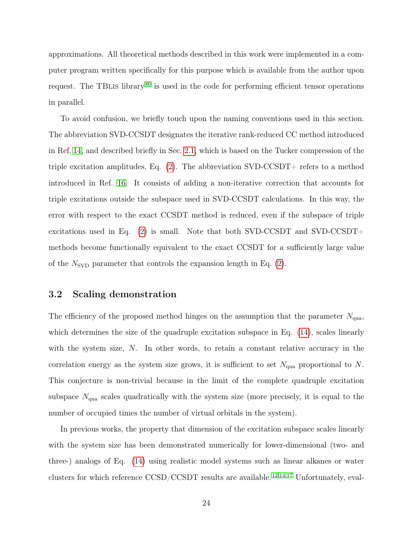approximations. All theoretical methods described in this work were implemented in a computer program written specifically for this purpose which is available from the author upon request. The TBLIS library<sup>[80](#page-56-0)</sup> is used in the code for performing efficient tensor operations in parallel.

To avoid confusion, we briefly touch upon the naming conventions used in this section. The abbreviation SVD-CCSDT designates the iterative rank-reduced CC method introduced in Ref. [14,](#page-48-3) and described briefly in Sec. [2.1,](#page-4-1) which is based on the Tucker compression of the triple excitation amplitudes, Eq.  $(2)$ . The abbreviation SVD-CCSDT+ refers to a method introduced in Ref. [16.](#page-48-6) It consists of adding a non-iterative correction that accounts for triple excitations outside the subspace used in SVD-CCSDT calculations. In this way, the error with respect to the exact CCSDT method is reduced, even if the subspace of triple excitations used in Eq.  $(2)$  is small. Note that both SVD-CCSDT and SVD-CCSDT+ methods become functionally equivalent to the exact CCSDT for a sufficiently large value of the  $N_{\text{SVD}}$  parameter that controls the expansion length in Eq. [\(2\)](#page-5-1).

#### <span id="page-23-0"></span>3.2 Scaling demonstration

The efficiency of the proposed method hinges on the assumption that the parameter  $N_{\rm qua}$ , which determines the size of the quadruple excitation subspace in Eq. [\(14\)](#page-12-0), scales linearly with the system size, N. In other words, to retain a constant relative accuracy in the correlation energy as the system size grows, it is sufficient to set  $N_{\text{qua}}$  proportional to N. This conjecture is non-trivial because in the limit of the complete quadruple excitation subspace  $N_{\text{qua}}$  scales quadratically with the system size (more precisely, it is equal to the number of occupied times the number of virtual orbitals in the system).

In previous works, the property that dimension of the excitation subspace scales linearly with the system size has been demonstrated numerically for lower-dimensional (two- and three-) analogs of Eq. [\(14\)](#page-12-0) using realistic model systems such as linear alkanes or water clusters for which reference CCSD/CCSDT results are available. [12](#page-48-7)[,14,](#page-48-3)[17](#page-48-0) Unfortunately, eval-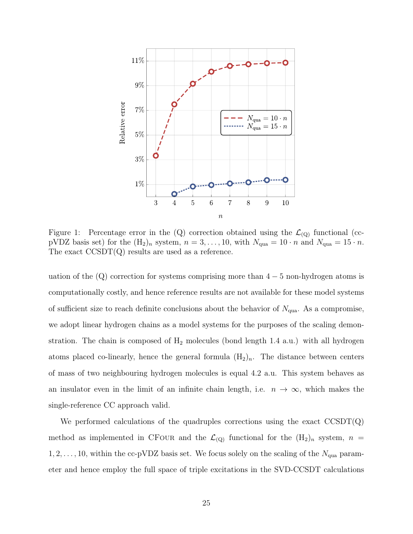<span id="page-24-0"></span>

Figure 1: Percentage error in the  $(Q)$  correction obtained using the  $\mathcal{L}_{(Q)}$  functional (ccpVDZ basis set) for the  $(H_2)_n$  system,  $n = 3, ..., 10$ , with  $N_{\text{qua}} = 10 \cdot n$  and  $N_{\text{qua}} = 15 \cdot n$ . The exact  $\text{CCSDT}(Q)$  results are used as a reference.

uation of the  $(Q)$  correction for systems comprising more than  $4-5$  non-hydrogen atoms is computationally costly, and hence reference results are not available for these model systems of sufficient size to reach definite conclusions about the behavior of  $N_{\text{qua}}$ . As a compromise, we adopt linear hydrogen chains as a model systems for the purposes of the scaling demonstration. The chain is composed of  $H_2$  molecules (bond length 1.4 a.u.) with all hydrogen atoms placed co-linearly, hence the general formula  $(H_2)_n$ . The distance between centers of mass of two neighbouring hydrogen molecules is equal 4.2 a.u. This system behaves as an insulator even in the limit of an infinite chain length, i.e.  $n \to \infty$ , which makes the single-reference CC approach valid.

We performed calculations of the quadruples corrections using the exact  $\text{CCSDT}(Q)$ method as implemented in CFOUR and the  $\mathcal{L}_{(Q)}$  functional for the  $(H_2)_n$  system,  $n =$  $1, 2, \ldots, 10$ , within the cc-pVDZ basis set. We focus solely on the scaling of the  $N_{\text{qua}}$  parameter and hence employ the full space of triple excitations in the SVD-CCSDT calculations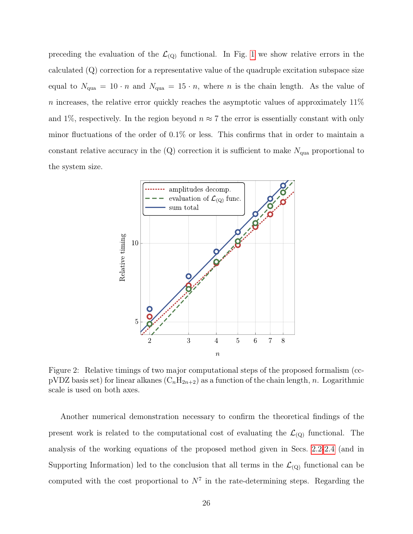preceding the evaluation of the  $\mathcal{L}_{(Q)}$  functional. In Fig. [1](#page-24-0) we show relative errors in the calculated (Q) correction for a representative value of the quadruple excitation subspace size equal to  $N_{\text{qua}} = 10 \cdot n$  and  $N_{\text{qua}} = 15 \cdot n$ , where n is the chain length. As the value of n increases, the relative error quickly reaches the asymptotic values of approximately  $11\%$ and 1%, respectively. In the region beyond  $n \approx 7$  the error is essentially constant with only minor fluctuations of the order of 0.1% or less. This confirms that in order to maintain a constant relative accuracy in the  $(Q)$  correction it is sufficient to make  $N_{\text{qua}}$  proportional to the system size.

<span id="page-25-0"></span>

Figure 2: Relative timings of two major computational steps of the proposed formalism (ccpVDZ basis set) for linear alkanes  $(C_nH_{2n+2})$  as a function of the chain length, n. Logarithmic scale is used on both axes.

Another numerical demonstration necessary to confirm the theoretical findings of the present work is related to the computational cost of evaluating the  $\mathcal{L}_{(Q)}$  functional. The analysis of the working equations of the proposed method given in Secs. [2.2-](#page-6-3)[2.4](#page-12-1) (and in Supporting Information) led to the conclusion that all terms in the  $\mathcal{L}_{(Q)}$  functional can be computed with the cost proportional to  $N^7$  in the rate-determining steps. Regarding the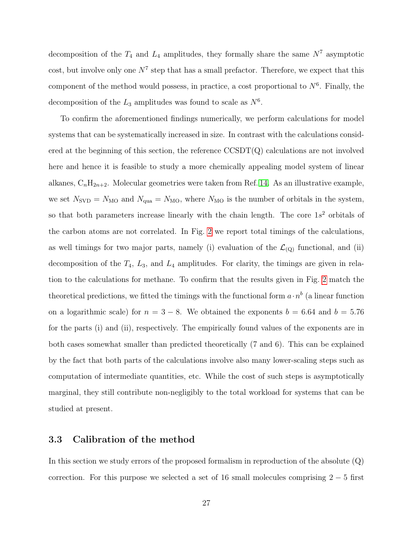decomposition of the  $T_4$  and  $L_4$  amplitudes, they formally share the same  $N^7$  asymptotic cost, but involve only one  $N^7$  step that has a small prefactor. Therefore, we expect that this component of the method would possess, in practice, a cost proportional to  $N^6$ . Finally, the decomposition of the  $L_3$  amplitudes was found to scale as  $N^6$ .

To confirm the aforementioned findings numerically, we perform calculations for model systems that can be systematically increased in size. In contrast with the calculations considered at the beginning of this section, the reference  $\text{CCSDT}(Q)$  calculations are not involved here and hence it is feasible to study a more chemically appealing model system of linear alkanes,  $C_nH_{2n+2}$ . Molecular geometries were taken from Ref. [14.](#page-48-3) As an illustrative example, we set  $N_{\text{SVD}} = N_{\text{MO}}$  and  $N_{\text{qua}} = N_{\text{MO}}$ , where  $N_{\text{MO}}$  is the number of orbitals in the system, so that both parameters increase linearly with the chain length. The core  $1s<sup>2</sup>$  orbitals of the carbon atoms are not correlated. In Fig. [2](#page-25-0) we report total timings of the calculations, as well timings for two major parts, namely (i) evaluation of the  $\mathcal{L}_{(Q)}$  functional, and (ii) decomposition of the  $T_4$ ,  $L_3$ , and  $L_4$  amplitudes. For clarity, the timings are given in relation to the calculations for methane. To confirm that the results given in Fig. [2](#page-25-0) match the theoretical predictions, we fitted the timings with the functional form  $a \cdot n^b$  (a linear function on a logarithmic scale) for  $n = 3 - 8$ . We obtained the exponents  $b = 6.64$  and  $b = 5.76$ for the parts (i) and (ii), respectively. The empirically found values of the exponents are in both cases somewhat smaller than predicted theoretically (7 and 6). This can be explained by the fact that both parts of the calculations involve also many lower-scaling steps such as computation of intermediate quantities, etc. While the cost of such steps is asymptotically marginal, they still contribute non-negligibly to the total workload for systems that can be studied at present.

#### <span id="page-26-0"></span>3.3 Calibration of the method

In this section we study errors of the proposed formalism in reproduction of the absolute  $(Q)$ correction. For this purpose we selected a set of 16 small molecules comprising  $2-5$  first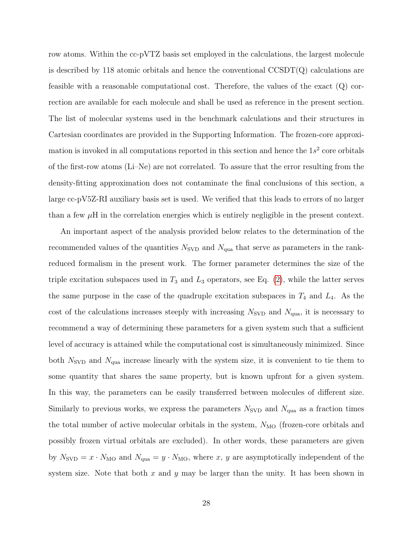row atoms. Within the cc-pVTZ basis set employed in the calculations, the largest molecule is described by 118 atomic orbitals and hence the conventional  $\text{CCSDT}(Q)$  calculations are feasible with a reasonable computational cost. Therefore, the values of the exact  $(Q)$  correction are available for each molecule and shall be used as reference in the present section. The list of molecular systems used in the benchmark calculations and their structures in Cartesian coordinates are provided in the Supporting Information. The frozen-core approximation is invoked in all computations reported in this section and hence the  $1s<sup>2</sup>$  core orbitals of the first-row atoms (Li–Ne) are not correlated. To assure that the error resulting from the density-fitting approximation does not contaminate the final conclusions of this section, a large cc-pV5Z-RI auxiliary basis set is used. We verified that this leads to errors of no larger than a few  $\mu$ H in the correlation energies which is entirely negligible in the present context.

An important aspect of the analysis provided below relates to the determination of the recommended values of the quantities  $N_{\text{SVD}}$  and  $N_{\text{qua}}$  that serve as parameters in the rankreduced formalism in the present work. The former parameter determines the size of the triple excitation subspaces used in  $T_3$  and  $L_3$  operators, see Eq. [\(2\)](#page-5-1), while the latter serves the same purpose in the case of the quadruple excitation subspaces in  $T_4$  and  $L_4$ . As the cost of the calculations increases steeply with increasing  $N_{\text{SVD}}$  and  $N_{\text{qua}}$ , it is necessary to recommend a way of determining these parameters for a given system such that a sufficient level of accuracy is attained while the computational cost is simultaneously minimized. Since both  $N_{\text{SVD}}$  and  $N_{\text{qua}}$  increase linearly with the system size, it is convenient to tie them to some quantity that shares the same property, but is known upfront for a given system. In this way, the parameters can be easily transferred between molecules of different size. Similarly to previous works, we express the parameters  $N_{\text{SVD}}$  and  $N_{\text{qua}}$  as a fraction times the total number of active molecular orbitals in the system,  $N_{\text{MO}}$  (frozen-core orbitals and possibly frozen virtual orbitals are excluded). In other words, these parameters are given by  $N_{\text{SVD}} = x \cdot N_{\text{MO}}$  and  $N_{\text{qua}} = y \cdot N_{\text{MO}}$ , where x, y are asymptotically independent of the system size. Note that both x and y may be larger than the unity. It has been shown in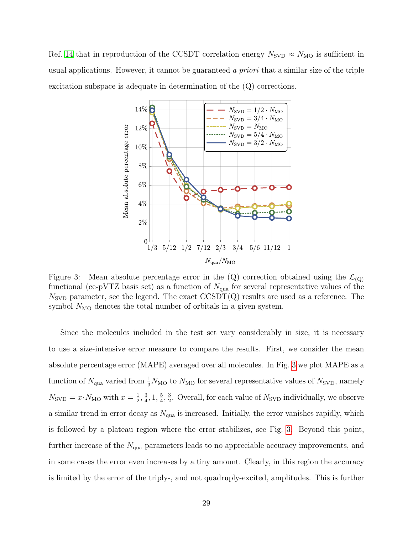<span id="page-28-0"></span>Ref. [14](#page-48-3) that in reproduction of the CCSDT correlation energy  $N_{\text{SVD}} \approx N_{\text{MO}}$  is sufficient in usual applications. However, it cannot be guaranteed a priori that a similar size of the triple excitation subspace is adequate in determination of the (Q) corrections.



Figure 3: Mean absolute percentage error in the  $(Q)$  correction obtained using the  $\mathcal{L}_{(Q)}$ functional (cc-pVTZ basis set) as a function of  $N_{\text{qua}}$  for several representative values of the  $N_{\text{SVD}}$  parameter, see the legend. The exact  $\text{CCSDT}(Q)$  results are used as a reference. The symbol  $N_{\text{MO}}$  denotes the total number of orbitals in a given system.

Since the molecules included in the test set vary considerably in size, it is necessary to use a size-intensive error measure to compare the results. First, we consider the mean absolute percentage error (MAPE) averaged over all molecules. In Fig. [3](#page-28-0) we plot MAPE as a function of  $N_{\text{qua}}$  varied from  $\frac{1}{3}N_{\text{MO}}$  to  $N_{\text{MO}}$  for several representative values of  $N_{\text{SVD}}$ , namely  $N_{\text{SVD}} = x \cdot N_{\text{MO}}$  with  $x = \frac{1}{2}$  $\frac{1}{2}, \frac{3}{4}$  $\frac{3}{4}$ , 1,  $\frac{5}{4}$  $\frac{5}{4}$ ,  $\frac{3}{2}$  $\frac{3}{2}$ . Overall, for each value of  $N_{\text{SVD}}$  individually, we observe a similar trend in error decay as  $N_{\text{qua}}$  is increased. Initially, the error vanishes rapidly, which is followed by a plateau region where the error stabilizes, see Fig. [3.](#page-28-0) Beyond this point, further increase of the  $N_{\text{qua}}$  parameters leads to no appreciable accuracy improvements, and in some cases the error even increases by a tiny amount. Clearly, in this region the accuracy is limited by the error of the triply-, and not quadruply-excited, amplitudes. This is further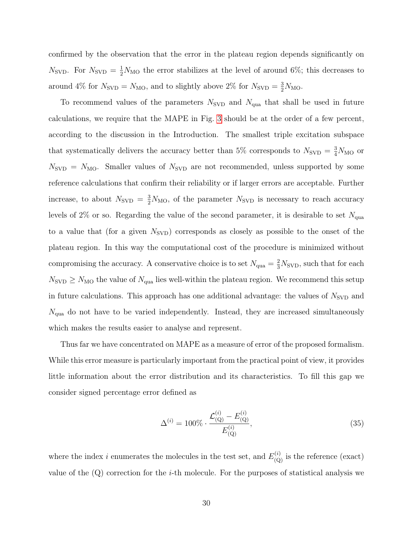confirmed by the observation that the error in the plateau region depends significantly on  $N_{\text{SVD}}$ . For  $N_{\text{SVD}} = \frac{1}{2} N_{\text{MO}}$  the error stabilizes at the level of around 6%; this decreases to around 4% for  $N_{\text{SVD}} = N_{\text{MO}}$ , and to slightly above 2% for  $N_{\text{SVD}} = \frac{3}{2} N_{\text{MO}}$ .

To recommend values of the parameters  $N_{\text{SVD}}$  and  $N_{\text{qua}}$  that shall be used in future calculations, we require that the MAPE in Fig. [3](#page-28-0) should be at the order of a few percent, according to the discussion in the Introduction. The smallest triple excitation subspace that systematically delivers the accuracy better than 5% corresponds to  $N_{\text{SVD}} = \frac{3}{4} N_{\text{MO}}$  or  $N_{\text{SVD}} = N_{\text{MO}}$ . Smaller values of  $N_{\text{SVD}}$  are not recommended, unless supported by some reference calculations that confirm their reliability or if larger errors are acceptable. Further increase, to about  $N_{\text{SVD}} = \frac{3}{2} N_{\text{MO}}$ , of the parameter  $N_{\text{SVD}}$  is necessary to reach accuracy levels of 2% or so. Regarding the value of the second parameter, it is desirable to set  $N_{\text{qua}}$ to a value that (for a given  $N_{\text{SVD}}$ ) corresponds as closely as possible to the onset of the plateau region. In this way the computational cost of the procedure is minimized without compromising the accuracy. A conservative choice is to set  $N_{\text{qua}} = \frac{2}{3} N_{\text{SVD}}$ , such that for each  $N_{\text{SVD}} \geq N_{\text{MO}}$  the value of  $N_{\text{qua}}$  lies well-within the plateau region. We recommend this setup in future calculations. This approach has one additional advantage: the values of  $N_{\rm SVD}$  and  $N_{\text{qua}}$  do not have to be varied independently. Instead, they are increased simultaneously which makes the results easier to analyse and represent.

Thus far we have concentrated on MAPE as a measure of error of the proposed formalism. While this error measure is particularly important from the practical point of view, it provides little information about the error distribution and its characteristics. To fill this gap we consider signed percentage error defined as

$$
\Delta^{(i)} = 100\% \cdot \frac{\mathcal{L}_{\text{(Q)}}^{(i)} - E_{\text{(Q)}}^{(i)}}{E_{\text{(Q)}}^{(i)}},\tag{35}
$$

where the index *i* enumerates the molecules in the test set, and  $E_{(Q)}^{(i)}$  is the reference (exact) value of the  $(Q)$  correction for the *i*-th molecule. For the purposes of statistical analysis we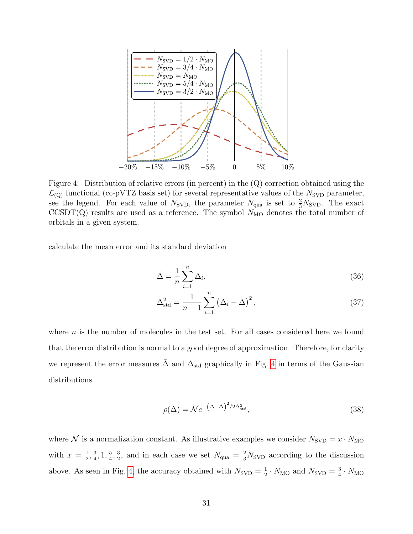<span id="page-30-0"></span>

Figure 4: Distribution of relative errors (in percent) in the (Q) correction obtained using the  $\mathcal{L}_{\text{(Q)}}$  functional (cc-pVTZ basis set) for several representative values of the  $N_{\text{SVD}}$  parameter, see the legend. For each value of  $N_{\text{SVD}}$ , the parameter  $N_{\text{qua}}$  is set to  $\frac{2}{3}N_{\text{SVD}}$ . The exact  $CCSDT(Q)$  results are used as a reference. The symbol  $N_{MO}$  denotes the total number of orbitals in a given system.

calculate the mean error and its standard deviation

$$
\bar{\Delta} = \frac{1}{n} \sum_{i=1}^{n} \Delta_i,\tag{36}
$$

$$
\Delta_{\text{std}}^2 = \frac{1}{n-1} \sum_{i=1}^n \left( \Delta_i - \bar{\Delta} \right)^2, \tag{37}
$$

where *n* is the number of molecules in the test set. For all cases considered here we found that the error distribution is normal to a good degree of approximation. Therefore, for clarity we represent the error measures  $\bar{\Delta}$  and  $\Delta_{\text{std}}$  graphically in Fig. [4](#page-30-0) in terms of the Gaussian distributions

$$
\rho(\Delta) = \mathcal{N}e^{-\left(\Delta - \bar{\Delta}\right)^2/2\Delta_{\text{std}}^2},\tag{38}
$$

where  $\mathcal N$  is a normalization constant. As illustrative examples we consider  $N_{\text{SVD}} = x \cdot N_{\text{MO}}$ with  $x = \frac{1}{2}$  $\frac{1}{2}, \frac{3}{4}$  $\frac{3}{4}$ , 1,  $\frac{5}{4}$  $\frac{5}{4}$ ,  $\frac{3}{2}$  $\frac{3}{2}$ , and in each case we set  $N_{\text{qua}} = \frac{2}{3} N_{\text{SVD}}$  according to the discussion above. As seen in Fig. [4,](#page-30-0) the accuracy obtained with  $N_{\text{SVD}} = \frac{1}{2}$  $\frac{1}{2} \cdot N_{\text{MO}}$  and  $N_{\text{SVD}} = \frac{3}{4}$  $\frac{3}{4} \cdot N_{\mathrm{MO}}$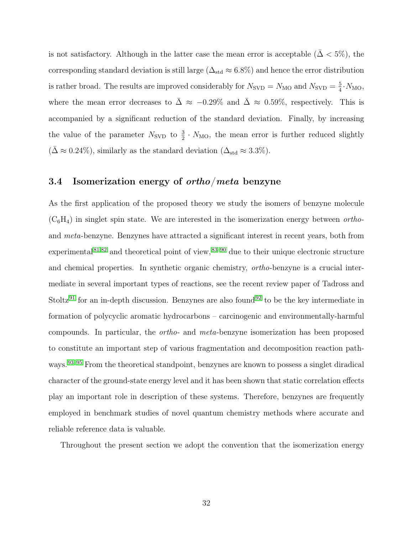is not satisfactory. Although in the latter case the mean error is acceptable ( $\bar{\Delta}$  < 5%), the corresponding standard deviation is still large ( $\Delta_{\text{std}} \approx 6.8\%$ ) and hence the error distribution is rather broad. The results are improved considerably for  $N_{\text{SVD}} = N_{\text{MO}}$  and  $N_{\text{SVD}} = \frac{5}{4}$  $\frac{5}{4} \cdot N_{\text{MO}}$ where the mean error decreases to  $\bar{\Delta} \approx -0.29\%$  and  $\bar{\Delta} \approx 0.59\%$ , respectively. This is accompanied by a significant reduction of the standard deviation. Finally, by increasing the value of the parameter  $N_{\text{SVD}}$  to  $\frac{3}{2} \cdot N_{\text{MO}}$ , the mean error is further reduced slightly  $(\bar{\Delta} \approx 0.24\%)$ , similarly as the standard deviation  $(\Delta_{\text{std}} \approx 3.3\%)$ .

#### <span id="page-31-0"></span>3.4 Isomerization energy of ortho/meta benzyne

As the first application of the proposed theory we study the isomers of benzyne molecule  $(C_6H_4)$  in singlet spin state. We are interested in the isomerization energy between *ortho*and meta-benzyne. Benzynes have attracted a significant interest in recent years, both from experimental  $81,82$  $81,82$  and theoretical point of view,  $83-90$  $83-90$  due to their unique electronic structure and chemical properties. In synthetic organic chemistry, ortho-benzyne is a crucial intermediate in several important types of reactions, see the recent review paper of Tadross and Stoltz<sup>[91](#page-57-1)</sup> for an in-depth discussion. Benzynes are also found<sup>[92](#page-57-2)</sup> to be the key intermediate in formation of polycyclic aromatic hydrocarbons – carcinogenic and environmentally-harmful compounds. In particular, the ortho- and meta-benzyne isomerization has been proposed to constitute an important step of various fragmentation and decomposition reaction pathways.[93](#page-57-3)[–95](#page-57-4) From the theoretical standpoint, benzynes are known to possess a singlet diradical character of the ground-state energy level and it has been shown that static correlation effects play an important role in description of these systems. Therefore, benzynes are frequently employed in benchmark studies of novel quantum chemistry methods where accurate and reliable reference data is valuable.

Throughout the present section we adopt the convention that the isomerization energy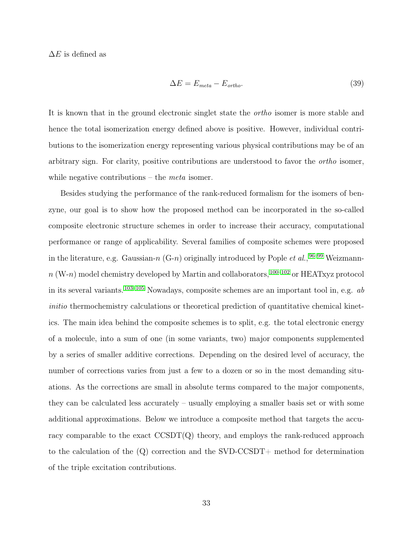$\Delta E$  is defined as

$$
\Delta E = E_{meta} - E_{ortho}.\tag{39}
$$

It is known that in the ground electronic singlet state the ortho isomer is more stable and hence the total isomerization energy defined above is positive. However, individual contributions to the isomerization energy representing various physical contributions may be of an arbitrary sign. For clarity, positive contributions are understood to favor the ortho isomer, while negative contributions – the *meta* isomer.

Besides studying the performance of the rank-reduced formalism for the isomers of benzyne, our goal is to show how the proposed method can be incorporated in the so-called composite electronic structure schemes in order to increase their accuracy, computational performance or range of applicability. Several families of composite schemes were proposed in the literature, e.g. Gaussian-n  $(G-n)$  originally introduced by Pople *et al.*, <sup>[96–](#page-57-5)[99](#page-58-0)</sup> Weizmann $n$  (W-n) model chemistry developed by Martin and collaborators,  $^{100-102}$  $^{100-102}$  $^{100-102}$  or HEATxyz protocol in its several variants.  $103-105$  $103-105$  Nowadays, composite schemes are an important tool in, e.g. ab initio thermochemistry calculations or theoretical prediction of quantitative chemical kinetics. The main idea behind the composite schemes is to split, e.g. the total electronic energy of a molecule, into a sum of one (in some variants, two) major components supplemented by a series of smaller additive corrections. Depending on the desired level of accuracy, the number of corrections varies from just a few to a dozen or so in the most demanding situations. As the corrections are small in absolute terms compared to the major components, they can be calculated less accurately – usually employing a smaller basis set or with some additional approximations. Below we introduce a composite method that targets the accuracy comparable to the exact  $\text{CCSDT}(Q)$  theory, and employs the rank-reduced approach to the calculation of the  $(Q)$  correction and the SVD-CCSDT+ method for determination of the triple excitation contributions.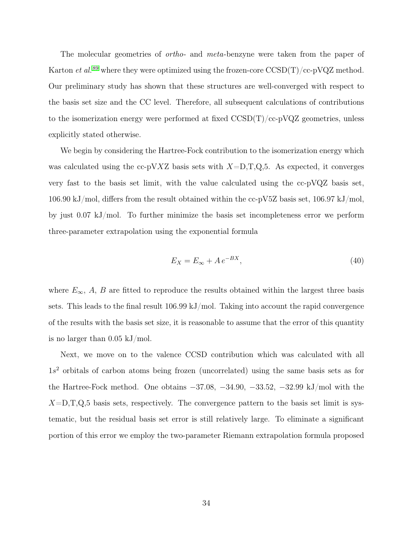The molecular geometries of *ortho*- and *meta*-benzyne were taken from the paper of Karton et al.<sup>[89](#page-57-6)</sup> where they were optimized using the frozen-core  $\text{CCSD}(T)/\text{cc-pV}QZ$  method. Our preliminary study has shown that these structures are well-converged with respect to the basis set size and the CC level. Therefore, all subsequent calculations of contributions to the isomerization energy were performed at fixed  $CCSD(T)/cc-pVQZ$  geometries, unless explicitly stated otherwise.

We begin by considering the Hartree-Fock contribution to the isomerization energy which was calculated using the cc-pVXZ basis sets with  $X=D,T,Q,5$ . As expected, it converges very fast to the basis set limit, with the value calculated using the cc-pVQZ basis set, 106.90 kJ/mol, differs from the result obtained within the cc-pV5Z basis set,  $106.97 \text{ kJ/mol}$ , by just 0.07 kJ/mol. To further minimize the basis set incompleteness error we perform three-parameter extrapolation using the exponential formula

<span id="page-33-0"></span>
$$
E_X = E_\infty + A e^{-BX},\tag{40}
$$

where  $E_{\infty}$ , A, B are fitted to reproduce the results obtained within the largest three basis sets. This leads to the final result 106.99 kJ/mol. Taking into account the rapid convergence of the results with the basis set size, it is reasonable to assume that the error of this quantity is no larger than 0.05 kJ/mol.

Next, we move on to the valence CCSD contribution which was calculated with all 1s <sup>2</sup> orbitals of carbon atoms being frozen (uncorrelated) using the same basis sets as for the Hartree-Fock method. One obtains −37.08, −34.90, −33.52, −32.99 kJ/mol with the  $X=$ D,T,Q,5 basis sets, respectively. The convergence pattern to the basis set limit is systematic, but the residual basis set error is still relatively large. To eliminate a significant portion of this error we employ the two-parameter Riemann extrapolation formula proposed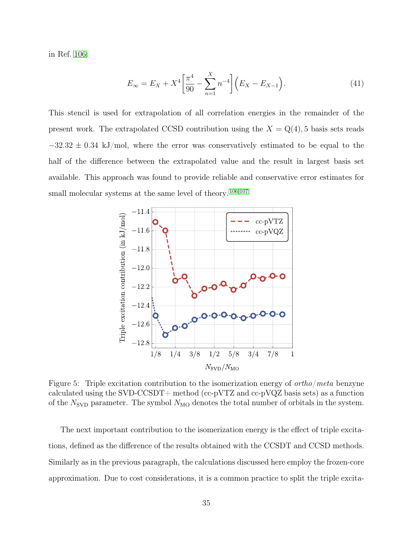in Ref. [106:](#page-59-1)

<span id="page-34-1"></span>
$$
E_{\infty} = E_X + X^4 \left[ \frac{\pi^4}{90} - \sum_{n=1}^X n^{-4} \right] \left( E_X - E_{X-1} \right). \tag{41}
$$

This stencil is used for extrapolation of all correlation energies in the remainder of the present work. The extrapolated CCSD contribution using the  $X = Q(4)$ , 5 basis sets reads  $-32.32 \pm 0.34$  kJ/mol, where the error was conservatively estimated to be equal to the half of the difference between the extrapolated value and the result in largest basis set available. This approach was found to provide reliable and conservative error estimates for small molecular systems at the same level of theory.  $^{106,107}\,$  $^{106,107}\,$  $^{106,107}\,$  $^{106,107}\,$ 

<span id="page-34-0"></span>

Figure 5: Triple excitation contribution to the isomerization energy of ortho/meta benzyne calculated using the SVD-CCSDT+ method (cc-pVTZ and cc-pVQZ basis sets) as a function of the  $N_{\text{SVD}}$  parameter. The symbol  $N_{\text{MO}}$  denotes the total number of orbitals in the system.

The next important contribution to the isomerization energy is the effect of triple excitations, defined as the difference of the results obtained with the CCSDT and CCSD methods. Similarly as in the previous paragraph, the calculations discussed here employ the frozen-core approximation. Due to cost considerations, it is a common practice to split the triple excita-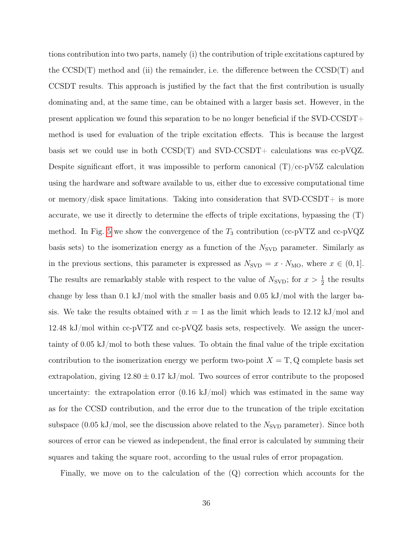tions contribution into two parts, namely (i) the contribution of triple excitations captured by the  $CCSD(T)$  method and (ii) the remainder, i.e. the difference between the  $CCSD(T)$  and CCSDT results. This approach is justified by the fact that the first contribution is usually dominating and, at the same time, can be obtained with a larger basis set. However, in the present application we found this separation to be no longer beneficial if the SVD-CCSDT+ method is used for evaluation of the triple excitation effects. This is because the largest basis set we could use in both  $CCSD(T)$  and  $SVD-CCSDT+$  calculations was cc-pVQZ. Despite significant effort, it was impossible to perform canonical  $(T)/c$ -pV5Z calculation using the hardware and software available to us, either due to excessive computational time or memory/disk space limitations. Taking into consideration that SVD-CCSDT+ is more accurate, we use it directly to determine the effects of triple excitations, bypassing the (T) method. In Fig. [5](#page-34-0) we show the convergence of the  $T_3$  contribution (cc-pVTZ and cc-pVQZ basis sets) to the isomerization energy as a function of the  $N_{SVD}$  parameter. Similarly as in the previous sections, this parameter is expressed as  $N_{\text{SVD}} = x \cdot N_{\text{MO}}$ , where  $x \in (0, 1]$ . The results are remarkably stable with respect to the value of  $N_{\text{SVD}}$ ; for  $x > \frac{1}{2}$  the results change by less than 0.1 kJ/mol with the smaller basis and 0.05 kJ/mol with the larger basis. We take the results obtained with  $x = 1$  as the limit which leads to 12.12 kJ/mol and 12.48 kJ/mol within cc-pVTZ and cc-pVQZ basis sets, respectively. We assign the uncertainty of 0.05 kJ/mol to both these values. To obtain the final value of the triple excitation contribution to the isomerization energy we perform two-point  $X = T$ , Q complete basis set extrapolation, giving  $12.80 \pm 0.17$  kJ/mol. Two sources of error contribute to the proposed uncertainty: the extrapolation error  $(0.16 \text{ kJ/mol})$  which was estimated in the same way as for the CCSD contribution, and the error due to the truncation of the triple excitation subspace (0.05 kJ/mol, see the discussion above related to the  $N_{SVD}$  parameter). Since both sources of error can be viewed as independent, the final error is calculated by summing their squares and taking the square root, according to the usual rules of error propagation.

Finally, we move on to the calculation of the (Q) correction which accounts for the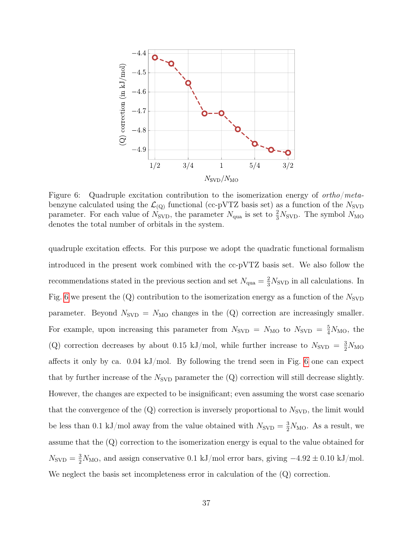<span id="page-36-0"></span>

Figure 6: Quadruple excitation contribution to the isomerization energy of *ortho/meta*benzyne calculated using the  $\mathcal{L}_{(Q)}$  functional (cc-pVTZ basis set) as a function of the  $N_{SVD}$ parameter. For each value of  $N_{\text{SVD}}$ , the parameter  $N_{\text{qua}}$  is set to  $\frac{2}{3}N_{\text{SVD}}$ . The symbol  $N_{\text{MO}}$ denotes the total number of orbitals in the system.

quadruple excitation effects. For this purpose we adopt the quadratic functional formalism introduced in the present work combined with the cc-pVTZ basis set. We also follow the recommendations stated in the previous section and set  $N_{\text{qua}} = \frac{2}{3} N_{\text{SVD}}$  in all calculations. In Fig. [6](#page-36-0) we present the  $(Q)$  contribution to the isomerization energy as a function of the  $N_{\text{SVD}}$ parameter. Beyond  $N_{\text{SVD}} = N_{\text{MO}}$  changes in the (Q) correction are increasingly smaller. For example, upon increasing this parameter from  $N_{\text{SVD}} = N_{\text{MO}}$  to  $N_{\text{SVD}} = \frac{5}{4} N_{\text{MO}}$ , the (Q) correction decreases by about 0.15 kJ/mol, while further increase to  $N_{\text{SVD}} = \frac{3}{2} N_{\text{MO}}$ affects it only by ca. 0.04 kJ/mol. By following the trend seen in Fig. [6](#page-36-0) one can expect that by further increase of the  $N_{SVD}$  parameter the  $(Q)$  correction will still decrease slightly. However, the changes are expected to be insignificant; even assuming the worst case scenario that the convergence of the  $(Q)$  correction is inversely proportional to  $N_{SVD}$ , the limit would be less than 0.1 kJ/mol away from the value obtained with  $N_{\text{SVD}} = \frac{3}{2} N_{\text{MO}}$ . As a result, we assume that the (Q) correction to the isomerization energy is equal to the value obtained for  $N_{\text{SVD}} = \frac{3}{2} N_{\text{MO}}$ , and assign conservative 0.1 kJ/mol error bars, giving  $-4.92 \pm 0.10$  kJ/mol. We neglect the basis set incompleteness error in calculation of the  $(Q)$  correction.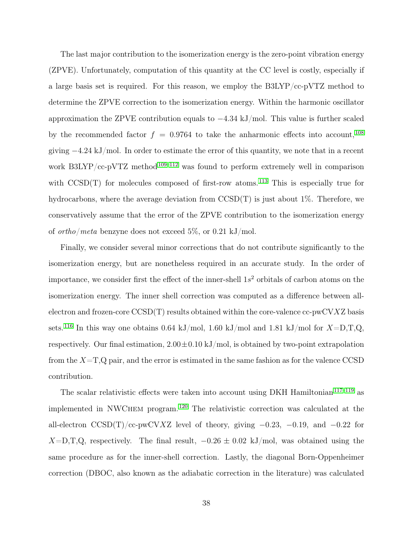The last major contribution to the isomerization energy is the zero-point vibration energy (ZPVE). Unfortunately, computation of this quantity at the CC level is costly, especially if a large basis set is required. For this reason, we employ the B3LYP/cc-pVTZ method to determine the ZPVE correction to the isomerization energy. Within the harmonic oscillator approximation the ZPVE contribution equals to  $-4.34 \text{ kJ/mol}$ . This value is further scaled by the recommended factor  $f = 0.9764$  to take the anharmonic effects into account, <sup>[108](#page-59-3)</sup> giving −4.24 kJ/mol. In order to estimate the error of this quantity, we note that in a recent work B3LYP/cc-pVTZ method<sup>[109](#page-59-4)-112</sup> was found to perform extremely well in comparison with  $CCSD(T)$  for molecules composed of first-row atoms.<sup>[113](#page-59-6)</sup> This is especially true for hydrocarbons, where the average deviation from  $\text{CCSD(T)}$  is just about 1%. Therefore, we conservatively assume that the error of the ZPVE contribution to the isomerization energy of *ortho/meta* benzyne does not exceed  $5\%$ , or 0.21 kJ/mol.

Finally, we consider several minor corrections that do not contribute significantly to the isomerization energy, but are nonetheless required in an accurate study. In the order of importance, we consider first the effect of the inner-shell  $1s<sup>2</sup>$  orbitals of carbon atoms on the isomerization energy. The inner shell correction was computed as a difference between allelectron and frozen-core  $\text{CCSD}(T)$  results obtained within the core-valence cc-pwCVXZ basis sets.<sup>[116](#page-60-0)</sup> In this way one obtains 0.64 kJ/mol, 1.60 kJ/mol and 1.81 kJ/mol for  $X=$ D,T,Q, respectively. Our final estimation,  $2.00 \pm 0.10 \text{ kJ/mol}$ , is obtained by two-point extrapolation from the  $X=T,Q$  pair, and the error is estimated in the same fashion as for the valence CCSD contribution.

The scalar relativistic effects were taken into account using DKH Hamiltonian<sup>[117–](#page-60-1)[119](#page-60-2)</sup> as implemented in NWChem program. [120](#page-60-3) The relativistic correction was calculated at the all-electron  $CCSD(T)/cc$ -pwCVXZ level of theory, giving  $-0.23$ ,  $-0.19$ , and  $-0.22$  for  $X=D,T,Q$ , respectively. The final result,  $-0.26 \pm 0.02$  kJ/mol, was obtained using the same procedure as for the inner-shell correction. Lastly, the diagonal Born-Oppenheimer correction (DBOC, also known as the adiabatic correction in the literature) was calculated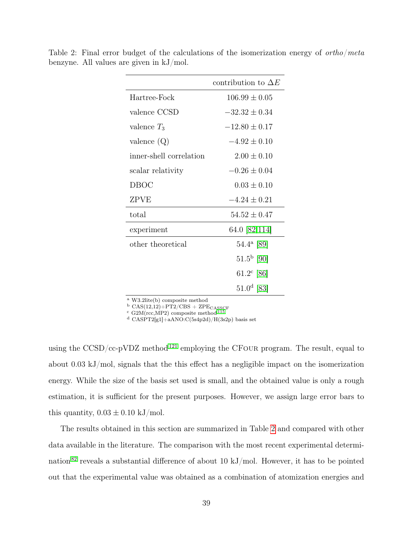|                         | contribution to $\Delta E$ |
|-------------------------|----------------------------|
| Hartree-Fock            | $106.99 \pm 0.05$          |
| valence CCSD            | $-32.32 \pm 0.34$          |
| valence $T_3$           | $-12.80 \pm 0.17$          |
| valence $(Q)$           | $-4.92 \pm 0.10$           |
| inner-shell correlation | $2.00 \pm 0.10$            |
| scalar relativity       | $-0.26 \pm 0.04$           |
| <b>DBOC</b>             | $0.03 \pm 0.10$            |
| ZPVE                    | $-4.24 \pm 0.21$           |
| total                   | $54.52 \pm 0.47$           |
| experiment              | 64.0 [82,114]              |
| other theoretical       | $54.4^{\rm a}$ [89]        |
|                         | $51.5^{\rm b}$ [90]        |
|                         | $61.2^c$ [86]              |
|                         | $51.0^d$ [83]              |

<span id="page-38-0"></span>Table 2: Final error budget of the calculations of the isomerization energy of *ortho/meta* benzyne. All values are given in kJ/mol.

<sup>a</sup> W3.2lite(b) composite method

 $b$  CAS(12,12)+PT2/CBS + ZPE<sub>CASSCF</sub>

 $c$  G2M(rcc,MP2) composite method  $^{115}$  $^{115}$  $^{115}$ 

<sup>d</sup> CASPT2[g1]+aANO:C(5s4p2d)/H(3s2p) basis set

using the CCSD/cc-pVDZ method<sup>[121](#page-60-6)</sup> employing the CFOUR program. The result, equal to about 0.03 kJ/mol, signals that the this effect has a negligible impact on the isomerization energy. While the size of the basis set used is small, and the obtained value is only a rough estimation, it is sufficient for the present purposes. However, we assign large error bars to this quantity,  $0.03 \pm 0.10 \text{ kJ/mol}$ .

The results obtained in this section are summarized in Table [2](#page-38-0) and compared with other data available in the literature. The comparison with the most recent experimental determi-nation<sup>[82](#page-56-2)</sup> reveals a substantial difference of about 10 kJ/mol. However, it has to be pointed out that the experimental value was obtained as a combination of atomization energies and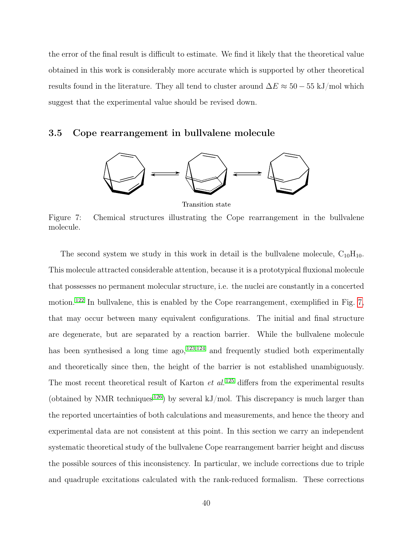the error of the final result is difficult to estimate. We find it likely that the theoretical value obtained in this work is considerably more accurate which is supported by other theoretical results found in the literature. They all tend to cluster around  $\Delta E \approx 50 - 55$  kJ/mol which suggest that the experimental value should be revised down.

#### <span id="page-39-0"></span>3.5 Cope rearrangement in bullvalene molecule



Transition state

Figure 7: Chemical structures illustrating the Cope rearrangement in the bullvalene molecule.

The second system we study in this work in detail is the bullvalene molecule,  $\rm C_{10}H_{10}$ . This molecule attracted considerable attention, because it is a prototypical fluxional molecule that possesses no permanent molecular structure, i.e. the nuclei are constantly in a concerted motion.<sup>[122](#page-61-0)</sup> In bullvalene, this is enabled by the Cope rearrangement, exemplified in Fig. [7,](#page-39-0) that may occur between many equivalent configurations. The initial and final structure are degenerate, but are separated by a reaction barrier. While the bullvalene molecule has been synthesised a long time  $ago$ ,  $123,124$  $123,124$  and frequently studied both experimentally and theoretically since then, the height of the barrier is not established unambiguously. The most recent theoretical result of Karton *et al.*<sup>[125](#page-61-3)</sup> differs from the experimental results (obtained by NMR techniques<sup>[126](#page-61-4)</sup>) by several kJ/mol. This discrepancy is much larger than the reported uncertainties of both calculations and measurements, and hence the theory and experimental data are not consistent at this point. In this section we carry an independent systematic theoretical study of the bullvalene Cope rearrangement barrier height and discuss the possible sources of this inconsistency. In particular, we include corrections due to triple and quadruple excitations calculated with the rank-reduced formalism. These corrections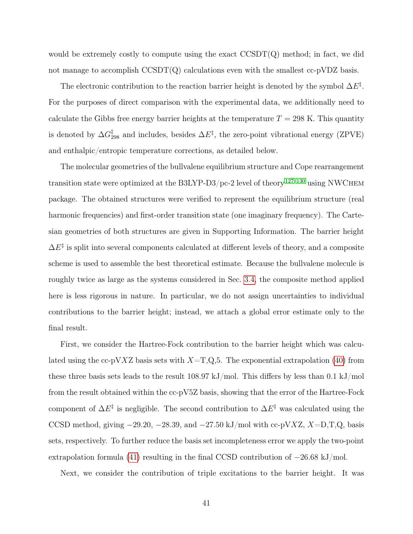would be extremely costly to compute using the exact  $\text{CCSDT}(Q)$  method; in fact, we did not manage to accomplish  $\text{CCSDT}(Q)$  calculations even with the smallest cc-pVDZ basis.

The electronic contribution to the reaction barrier height is denoted by the symbol  $\Delta E^{\ddagger}$ . For the purposes of direct comparison with the experimental data, we additionally need to calculate the Gibbs free energy barrier heights at the temperature  $T = 298$  K. This quantity is denoted by  $\Delta G_{298}^{\ddagger}$  and includes, besides  $\Delta E^{\ddagger}$ , the zero-point vibrational energy (ZPVE) and enthalpic/entropic temperature corrections, as detailed below.

The molecular geometries of the bullvalene equilibrium structure and Cope rearrangement transition state were optimized at the B3LYP-D3/pc-2 level of theory  $127-130$  $127-130$  using NWCHEM package. The obtained structures were verified to represent the equilibrium structure (real harmonic frequencies) and first-order transition state (one imaginary frequency). The Cartesian geometries of both structures are given in Supporting Information. The barrier height  $\Delta E^{\ddagger}$  is split into several components calculated at different levels of theory, and a composite scheme is used to assemble the best theoretical estimate. Because the bullvalene molecule is roughly twice as large as the systems considered in Sec. [3.4,](#page-31-0) the composite method applied here is less rigorous in nature. In particular, we do not assign uncertainties to individual contributions to the barrier height; instead, we attach a global error estimate only to the final result.

First, we consider the Hartree-Fock contribution to the barrier height which was calculated using the cc-pVXZ basis sets with  $X=T,Q,5$ . The exponential extrapolation [\(40\)](#page-33-0) from these three basis sets leads to the result  $108.97 \text{ kJ/mol}$ . This differs by less than 0.1 kJ/mol from the result obtained within the cc-pV5Z basis, showing that the error of the Hartree-Fock component of  $\Delta E^{\ddagger}$  is negligible. The second contribution to  $\Delta E^{\ddagger}$  was calculated using the CCSD method, giving  $-29.20, -28.39,$  and  $-27.50 \text{ kJ/mol}$  with cc-pVXZ,  $X=D,T,Q$ , basis sets, respectively. To further reduce the basis set incompleteness error we apply the two-point extrapolation formula [\(41\)](#page-34-1) resulting in the final CCSD contribution of −26.68 kJ/mol.

Next, we consider the contribution of triple excitations to the barrier height. It was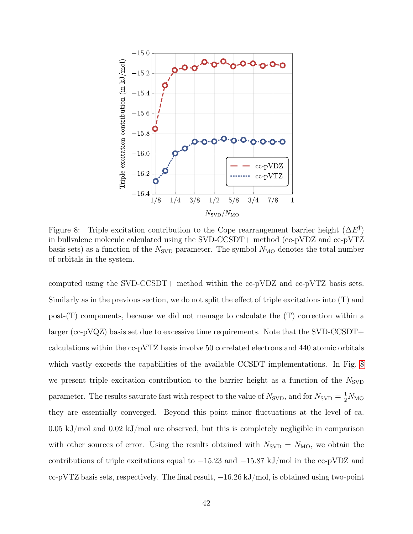<span id="page-41-0"></span>

Figure 8: Triple excitation contribution to the Cope rearrangement barrier height  $(\Delta E^{\ddagger})$ in bullvalene molecule calculated using the SVD-CCSDT+ method (cc-pVDZ and cc-pVTZ basis sets) as a function of the  $N_{\text{SVD}}$  parameter. The symbol  $N_{\text{MO}}$  denotes the total number of orbitals in the system.

computed using the SVD-CCSDT+ method within the cc-pVDZ and cc-pVTZ basis sets. Similarly as in the previous section, we do not split the effect of triple excitations into (T) and post-(T) components, because we did not manage to calculate the (T) correction within a larger (cc-pVQZ) basis set due to excessive time requirements. Note that the SVD-CCSDT+ calculations within the cc-pVTZ basis involve 50 correlated electrons and 440 atomic orbitals which vastly exceeds the capabilities of the available CCSDT implementations. In Fig. [8](#page-41-0) we present triple excitation contribution to the barrier height as a function of the  $N_{\text{SVD}}$ parameter. The results saturate fast with respect to the value of  $N_{\text{SVD}}$ , and for  $N_{\text{SVD}} = \frac{1}{2} N_{\text{MO}}$ they are essentially converged. Beyond this point minor fluctuations at the level of ca.  $0.05 \text{ kJ/mol}$  and  $0.02 \text{ kJ/mol}$  are observed, but this is completely negligible in comparison with other sources of error. Using the results obtained with  $N_{\text{SVD}} = N_{\text{MO}}$ , we obtain the contributions of triple excitations equal to  $-15.23$  and  $-15.87$  kJ/mol in the cc-pVDZ and cc-pVTZ basis sets, respectively. The final result, −16.26 kJ/mol, is obtained using two-point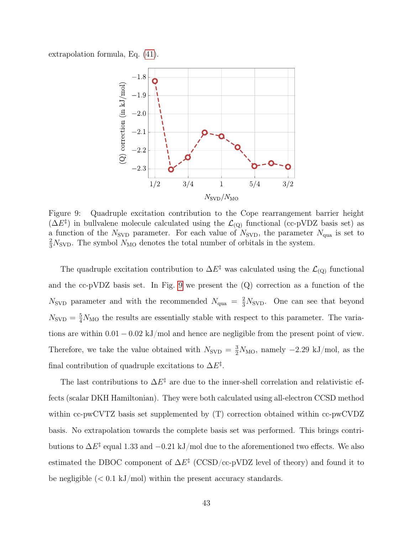<span id="page-42-0"></span>extrapolation formula, Eq. [\(41\)](#page-34-1).



Figure 9: Quadruple excitation contribution to the Cope rearrangement barrier height  $(\Delta E^{\ddagger})$  in bullvalene molecule calculated using the  $\mathcal{L}_{(Q)}$  functional (cc-pVDZ basis set) as a function of the  $N_{\text{SVD}}$  parameter. For each value of  $N_{\text{SVD}}$ , the parameter  $N_{\text{qua}}$  is set to  $\frac{2}{3}N_{\text{SVD}}$ . The symbol  $N_{\text{MO}}$  denotes the total number of orbitals in the system.

The quadruple excitation contribution to  $\Delta E^{\ddagger}$  was calculated using the  $\mathcal{L}_{(Q)}$  functional and the cc-pVDZ basis set. In Fig. [9](#page-42-0) we present the  $(Q)$  correction as a function of the  $N_{\text{SVD}}$  parameter and with the recommended  $N_{\text{qua}} = \frac{2}{3} N_{\text{SVD}}$ . One can see that beyond  $N_{\text{SVD}} = \frac{5}{4}N_{\text{MO}}$  the results are essentially stable with respect to this parameter. The variations are within  $0.01 - 0.02$  kJ/mol and hence are negligible from the present point of view. Therefore, we take the value obtained with  $N_{\text{SVD}} = \frac{3}{2} N_{\text{MO}}$ , namely  $-2.29 \text{ kJ/mol}$ , as the final contribution of quadruple excitations to  $\Delta E^{\ddagger}$ .

The last contributions to  $\Delta E^{\ddagger}$  are due to the inner-shell correlation and relativistic effects (scalar DKH Hamiltonian). They were both calculated using all-electron CCSD method within cc-pwCVTZ basis set supplemented by  $(T)$  correction obtained within cc-pwCVDZ basis. No extrapolation towards the complete basis set was performed. This brings contributions to  $\Delta E^{\ddagger}$  equal 1.33 and  $-0.21$  kJ/mol due to the aforementioned two effects. We also estimated the DBOC component of  $\Delta E^{\ddagger}$  (CCSD/cc-pVDZ level of theory) and found it to be negligible  $(< 0.1 \text{ kJ/mol})$  within the present accuracy standards.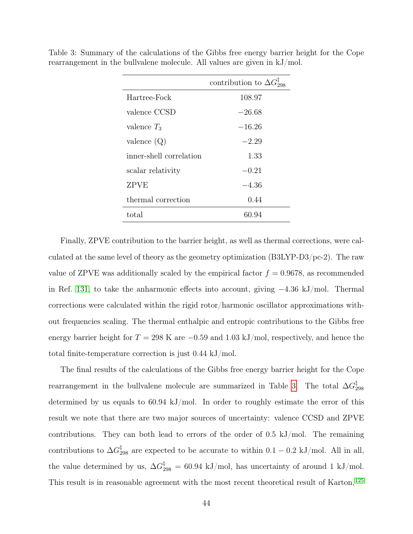|                         | contribution to $\Delta G_{298}^{\ddagger}$ |
|-------------------------|---------------------------------------------|
| Hartree-Fock            | 108.97                                      |
| valence CCSD            | $-26.68$                                    |
| valence $T_3$           | $-16.26$                                    |
| valence $(Q)$           | $-2.29$                                     |
| inner-shell correlation | 1.33                                        |
| scalar relativity       | $-0.21$                                     |
| <b>ZPVE</b>             | $-4.36$                                     |
| thermal correction      | 0.44                                        |
| total                   | 60.94                                       |

<span id="page-43-0"></span>Table 3: Summary of the calculations of the Gibbs free energy barrier height for the Cope rearrangement in the bullvalene molecule. All values are given in kJ/mol.

Finally, ZPVE contribution to the barrier height, as well as thermal corrections, were calculated at the same level of theory as the geometry optimization (B3LYP-D3/pc-2). The raw value of ZPVE was additionally scaled by the empirical factor  $f = 0.9678$ , as recommended in Ref. [131,](#page-61-7) to take the anharmonic effects into account, giving −4.36 kJ/mol. Thermal corrections were calculated within the rigid rotor/harmonic oscillator approximations without frequencies scaling. The thermal enthalpic and entropic contributions to the Gibbs free energy barrier height for  $T = 298$  K are  $-0.59$  and 1.03 kJ/mol, respectively, and hence the total finite-temperature correction is just 0.44 kJ/mol.

The final results of the calculations of the Gibbs free energy barrier height for the Cope rearrangement in the bullvalene molecule are summarized in Table [3.](#page-43-0) The total  $\Delta G_2^{\ddagger}$ 298 determined by us equals to  $60.94 \text{ kJ/mol}$ . In order to roughly estimate the error of this result we note that there are two major sources of uncertainty: valence CCSD and ZPVE contributions. They can both lead to errors of the order of 0.5 kJ/mol. The remaining contributions to  $\Delta G_{298}^{\ddagger}$  are expected to be accurate to within  $0.1 - 0.2$  kJ/mol. All in all, the value determined by us,  $\Delta G_{298}^{\ddagger} = 60.94 \text{ kJ/mol}$ , has uncertainty of around 1 kJ/mol. This result is in reasonable agreement with the most recent theoretical result of Karton,  $^{125}$  $^{125}$  $^{125}$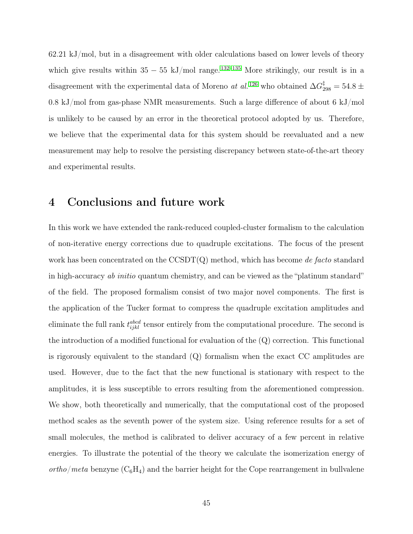62.21 kJ/mol, but in a disagreement with older calculations based on lower levels of theory which give results within  $35 - 55$  kJ/mol range.<sup>[132](#page-62-0)[–135](#page-62-1)</sup> More strikingly, our result is in a disagreement with the experimental data of Moreno *at al.*<sup>[126](#page-61-4)</sup> who obtained  $\Delta G_{298}^{\ddagger} = 54.8 \pm$ 0.8 kJ/mol from gas-phase NMR measurements. Such a large difference of about 6 kJ/mol is unlikely to be caused by an error in the theoretical protocol adopted by us. Therefore, we believe that the experimental data for this system should be reevaluated and a new measurement may help to resolve the persisting discrepancy between state-of-the-art theory and experimental results.

### 4 Conclusions and future work

In this work we have extended the rank-reduced coupled-cluster formalism to the calculation of non-iterative energy corrections due to quadruple excitations. The focus of the present work has been concentrated on the  $\text{CCSDT}(Q)$  method, which has become *de facto* standard in high-accuracy ab initio quantum chemistry, and can be viewed as the "platinum standard" of the field. The proposed formalism consist of two major novel components. The first is the application of the Tucker format to compress the quadruple excitation amplitudes and eliminate the full rank  $t_{ijkl}^{abcd}$  tensor entirely from the computational procedure. The second is the introduction of a modified functional for evaluation of the  $(Q)$  correction. This functional is rigorously equivalent to the standard  $(Q)$  formalism when the exact  $CC$  amplitudes are used. However, due to the fact that the new functional is stationary with respect to the amplitudes, it is less susceptible to errors resulting from the aforementioned compression. We show, both theoretically and numerically, that the computational cost of the proposed method scales as the seventh power of the system size. Using reference results for a set of small molecules, the method is calibrated to deliver accuracy of a few percent in relative energies. To illustrate the potential of the theory we calculate the isomerization energy of ortho/meta benzyne  $(C_6H_4)$  and the barrier height for the Cope rearrangement in bullvalene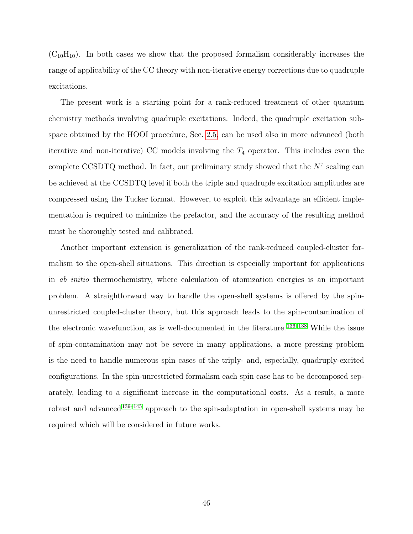$(C_{10}H_{10})$ . In both cases we show that the proposed formalism considerably increases the range of applicability of the CC theory with non-iterative energy corrections due to quadruple excitations.

The present work is a starting point for a rank-reduced treatment of other quantum chemistry methods involving quadruple excitations. Indeed, the quadruple excitation subspace obtained by the HOOI procedure, Sec. [2.5,](#page-16-3) can be used also in more advanced (both iterative and non-iterative) CC models involving the  $T_4$  operator. This includes even the complete CCSDTQ method. In fact, our preliminary study showed that the  $N^7$  scaling can be achieved at the CCSDTQ level if both the triple and quadruple excitation amplitudes are compressed using the Tucker format. However, to exploit this advantage an efficient implementation is required to minimize the prefactor, and the accuracy of the resulting method must be thoroughly tested and calibrated.

Another important extension is generalization of the rank-reduced coupled-cluster formalism to the open-shell situations. This direction is especially important for applications in ab initio thermochemistry, where calculation of atomization energies is an important problem. A straightforward way to handle the open-shell systems is offered by the spinunrestricted coupled-cluster theory, but this approach leads to the spin-contamination of the electronic wavefunction, as is well-documented in the literature.  $^{136-138}$  $^{136-138}$  $^{136-138}$  While the issue of spin-contamination may not be severe in many applications, a more pressing problem is the need to handle numerous spin cases of the triply- and, especially, quadruply-excited configurations. In the spin-unrestricted formalism each spin case has to be decomposed separately, leading to a significant increase in the computational costs. As a result, a more robust and advanced<sup>[139–](#page-62-4)[145](#page-63-1)</sup> approach to the spin-adaptation in open-shell systems may be required which will be considered in future works.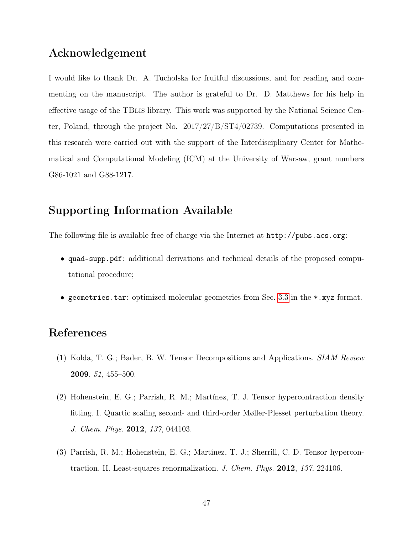## Acknowledgement

I would like to thank Dr. A. Tucholska for fruitful discussions, and for reading and commenting on the manuscript. The author is grateful to Dr. D. Matthews for his help in effective usage of the TBlis library. This work was supported by the National Science Center, Poland, through the project No. 2017/27/B/ST4/02739. Computations presented in this research were carried out with the support of the Interdisciplinary Center for Mathematical and Computational Modeling (ICM) at the University of Warsaw, grant numbers G86-1021 and G88-1217.

## Supporting Information Available

The following file is available free of charge via the Internet at http://pubs.acs.org:

- quad-supp.pdf: additional derivations and technical details of the proposed computational procedure;
- geometries.tar: optimized molecular geometries from Sec. [3.3](#page-26-0) in the \*.xyz format.

## References

- <span id="page-46-0"></span>(1) Kolda, T. G.; Bader, B. W. Tensor Decompositions and Applications. SIAM Review 2009, 51, 455–500.
- <span id="page-46-1"></span>(2) Hohenstein, E. G.; Parrish, R. M.; Martínez, T. J. Tensor hypercontraction density fitting. I. Quartic scaling second- and third-order Møller-Plesset perturbation theory. J. Chem. Phys. 2012, 137, 044103.
- (3) Parrish, R. M.; Hohenstein, E. G.; Martínez, T. J.; Sherrill, C. D. Tensor hypercontraction. II. Least-squares renormalization. J. Chem. Phys. 2012, 137, 224106.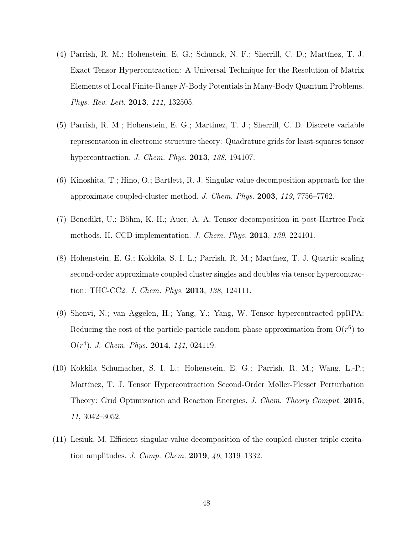- (4) Parrish, R. M.; Hohenstein, E. G.; Schunck, N. F.; Sherrill, C. D.; Martínez, T. J. Exact Tensor Hypercontraction: A Universal Technique for the Resolution of Matrix Elements of Local Finite-Range N-Body Potentials in Many-Body Quantum Problems. Phys. Rev. Lett. 2013, 111, 132505.
- <span id="page-47-0"></span>(5) Parrish, R. M.; Hohenstein, E. G.; Martínez, T. J.; Sherrill, C. D. Discrete variable representation in electronic structure theory: Quadrature grids for least-squares tensor hypercontraction. *J. Chem. Phys.* **2013**, 138, 194107.
- <span id="page-47-1"></span>(6) Kinoshita, T.; Hino, O.; Bartlett, R. J. Singular value decomposition approach for the approximate coupled-cluster method. J. Chem. Phys. 2003, 119, 7756–7762.
- (7) Benedikt, U.; Böhm, K.-H.; Auer, A. A. Tensor decomposition in post-Hartree-Fock methods. II. CCD implementation. J. Chem. Phys. 2013, 139, 224101.
- (8) Hohenstein, E. G.; Kokkila, S. I. L.; Parrish, R. M.; Martínez, T. J. Quartic scaling second-order approximate coupled cluster singles and doubles via tensor hypercontraction: THC-CC2. J. Chem. Phys. 2013, 138, 124111.
- (9) Shenvi, N.; van Aggelen, H.; Yang, Y.; Yang, W. Tensor hypercontracted ppRPA: Reducing the cost of the particle-particle random phase approximation from  $O(r^6)$  to  $O(r^4)$ . J. Chem. Phys. 2014, 141, 024119.
- (10) Kokkila Schumacher, S. I. L.; Hohenstein, E. G.; Parrish, R. M.; Wang, L.-P.; Martínez, T. J. Tensor Hypercontraction Second-Order Møller-Plesset Perturbation Theory: Grid Optimization and Reaction Energies. J. Chem. Theory Comput. 2015, 11, 3042–3052.
- <span id="page-47-2"></span>(11) Lesiuk, M. Efficient singular-value decomposition of the coupled-cluster triple excitation amplitudes. J. Comp. Chem. 2019, 40, 1319–1332.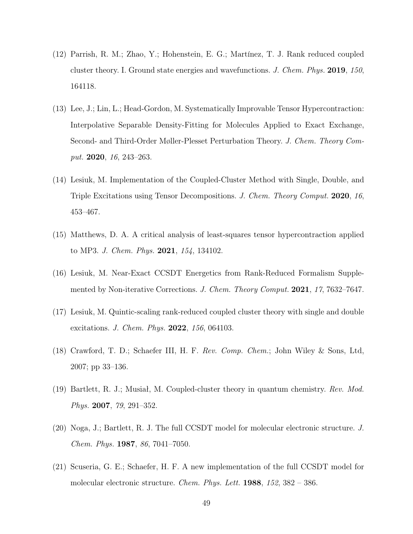- <span id="page-48-7"></span>(12) Parrish, R. M.; Zhao, Y.; Hohenstein, E. G.; Martínez, T. J. Rank reduced coupled cluster theory. I. Ground state energies and wavefunctions. J. Chem. Phys. 2019, 150, 164118.
- (13) Lee, J.; Lin, L.; Head-Gordon, M. Systematically Improvable Tensor Hypercontraction: Interpolative Separable Density-Fitting for Molecules Applied to Exact Exchange, Second- and Third-Order Møller-Plesset Perturbation Theory. J. Chem. Theory Comput. 2020, 16, 243–263.
- <span id="page-48-3"></span>(14) Lesiuk, M. Implementation of the Coupled-Cluster Method with Single, Double, and Triple Excitations using Tensor Decompositions. J. Chem. Theory Comput. 2020, 16, 453–467.
- (15) Matthews, D. A. A critical analysis of least-squares tensor hypercontraction applied to MP3. J. Chem. Phys. 2021, 154, 134102.
- <span id="page-48-6"></span>(16) Lesiuk, M. Near-Exact CCSDT Energetics from Rank-Reduced Formalism Supplemented by Non-iterative Corrections. J. Chem. Theory Comput. 2021, 17, 7632–7647.
- <span id="page-48-0"></span>(17) Lesiuk, M. Quintic-scaling rank-reduced coupled cluster theory with single and double excitations. *J. Chem. Phys.* **2022**, 156, 064103.
- <span id="page-48-1"></span>(18) Crawford, T. D.; Schaefer III, H. F. Rev. Comp. Chem.; John Wiley & Sons, Ltd, 2007; pp 33–136.
- <span id="page-48-2"></span>(19) Bartlett, R. J.; Musiał, M. Coupled-cluster theory in quantum chemistry. Rev. Mod. Phys. 2007, 79, 291–352.
- <span id="page-48-4"></span>(20) Noga, J.; Bartlett, R. J. The full CCSDT model for molecular electronic structure. J. Chem. Phys. 1987, 86, 7041–7050.
- <span id="page-48-5"></span>(21) Scuseria, G. E.; Schaefer, H. F. A new implementation of the full CCSDT model for molecular electronic structure. Chem. Phys. Lett. **1988**,  $152$ ,  $382 - 386$ .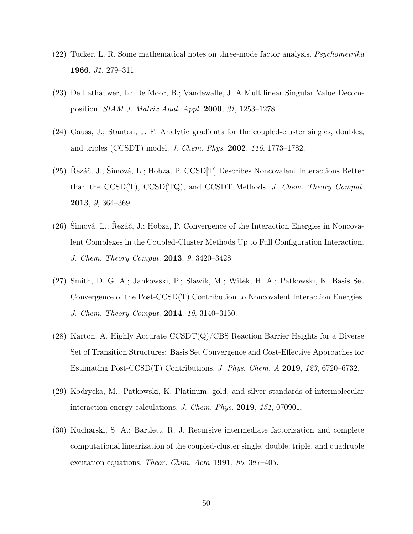- <span id="page-49-0"></span>(22) Tucker, L. R. Some mathematical notes on three-mode factor analysis. Psychometrika 1966, 31, 279–311.
- <span id="page-49-1"></span>(23) De Lathauwer, L.; De Moor, B.; Vandewalle, J. A Multilinear Singular Value Decomposition. SIAM J. Matrix Anal. Appl. 2000, 21, 1253–1278.
- <span id="page-49-2"></span>(24) Gauss, J.; Stanton, J. F. Analytic gradients for the coupled-cluster singles, doubles, and triples (CCSDT) model. J. Chem. Phys. 2002, 116, 1773–1782.
- (25) Řezáč, J.; Šimová, L.; Hobza, P. CCSD[T] Describes Noncovalent Interactions Better than the  $CCSD(T)$ ,  $CCSD(TQ)$ , and  $CCSDT$  Methods. J. Chem. Theory Comput. 2013, 9, 364–369.
- (26) Šimová, L.; Řezáč, J.; Hobza, P. Convergence of the Interaction Energies in Noncovalent Complexes in the Coupled-Cluster Methods Up to Full Configuration Interaction. J. Chem. Theory Comput. 2013, 9, 3420–3428.
- (27) Smith, D. G. A.; Jankowski, P.; Slawik, M.; Witek, H. A.; Patkowski, K. Basis Set Convergence of the Post-CCSD(T) Contribution to Noncovalent Interaction Energies. J. Chem. Theory Comput. 2014, 10, 3140–3150.
- (28) Karton, A. Highly Accurate  $\text{CCSDT}(Q)/\text{CBS}$  Reaction Barrier Heights for a Diverse Set of Transition Structures: Basis Set Convergence and Cost-Effective Approaches for Estimating Post-CCSD(T) Contributions. J. Phys. Chem.  $A$  2019, 123, 6720–6732.
- <span id="page-49-3"></span>(29) Kodrycka, M.; Patkowski, K. Platinum, gold, and silver standards of intermolecular interaction energy calculations. J. Chem. Phys. 2019, 151, 070901.
- <span id="page-49-4"></span>(30) Kucharski, S. A.; Bartlett, R. J. Recursive intermediate factorization and complete computational linearization of the coupled-cluster single, double, triple, and quadruple excitation equations. Theor. Chim. Acta  $1991, 80, 387-405$ .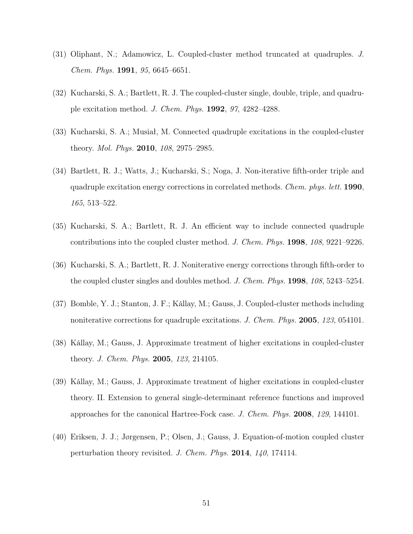- (31) Oliphant, N.; Adamowicz, L. Coupled-cluster method truncated at quadruples. J. Chem. Phys. 1991, 95, 6645–6651.
- (32) Kucharski, S. A.; Bartlett, R. J. The coupled-cluster single, double, triple, and quadruple excitation method. J. Chem. Phys. 1992, 97, 4282–4288.
- <span id="page-50-0"></span>(33) Kucharski, S. A.; Musiał, M. Connected quadruple excitations in the coupled-cluster theory. Mol. Phys. 2010, 108, 2975–2985.
- <span id="page-50-1"></span>(34) Bartlett, R. J.; Watts, J.; Kucharski, S.; Noga, J. Non-iterative fifth-order triple and quadruple excitation energy corrections in correlated methods. Chem. phys. lett. 1990, 165, 513–522.
- <span id="page-50-4"></span>(35) Kucharski, S. A.; Bartlett, R. J. An efficient way to include connected quadruple contributions into the coupled cluster method. J. Chem. Phys. 1998, 108, 9221–9226.
- <span id="page-50-3"></span>(36) Kucharski, S. A.; Bartlett, R. J. Noniterative energy corrections through fifth-order to the coupled cluster singles and doubles method. J. Chem. Phys. 1998, 108, 5243–5254.
- <span id="page-50-2"></span>(37) Bomble, Y. J.; Stanton, J. F.; Kállay, M.; Gauss, J. Coupled-cluster methods including noniterative corrections for quadruple excitations. J. Chem. Phys. 2005, 123, 054101.
- <span id="page-50-5"></span>(38) Kállay, M.; Gauss, J. Approximate treatment of higher excitations in coupled-cluster theory. J. Chem. Phys. 2005, 123, 214105.
- (39) Kállay, M.; Gauss, J. Approximate treatment of higher excitations in coupled-cluster theory. II. Extension to general single-determinant reference functions and improved approaches for the canonical Hartree-Fock case. J. Chem. Phys. 2008, 129, 144101.
- <span id="page-50-6"></span>(40) Eriksen, J. J.; Jørgensen, P.; Olsen, J.; Gauss, J. Equation-of-motion coupled cluster perturbation theory revisited. J. Chem. Phys. 2014, 140, 174114.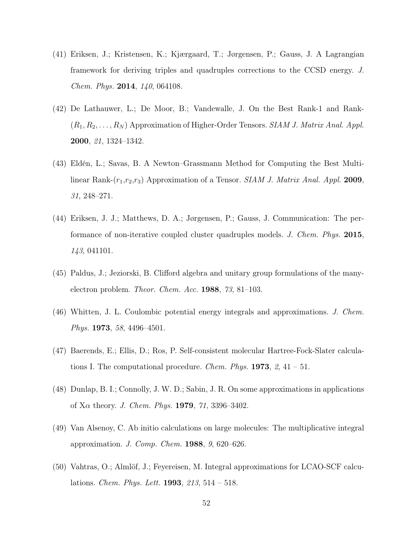- <span id="page-51-0"></span>(41) Eriksen, J.; Kristensen, K.; Kjærgaard, T.; Jørgensen, P.; Gauss, J. A Lagrangian framework for deriving triples and quadruples corrections to the CCSD energy. J. *Chem. Phys.* **2014**,  $140, 064108$ .
- <span id="page-51-1"></span>(42) De Lathauwer, L.; De Moor, B.; Vandewalle, J. On the Best Rank-1 and Rank-  $(R_1, R_2, \ldots, R_N)$  Approximation of Higher-Order Tensors. SIAM J. Matrix Anal. Appl. 2000, 21, 1324–1342.
- <span id="page-51-2"></span>(43) Eldén, L.; Savas, B. A Newton–Grassmann Method for Computing the Best Multilinear Rank- $(r_1,r_2,r_3)$  Approximation of a Tensor. SIAM J. Matrix Anal. Appl. 2009, 31, 248–271.
- <span id="page-51-3"></span>(44) Eriksen, J. J.; Matthews, D. A.; Jørgensen, P.; Gauss, J. Communication: The performance of non-iterative coupled cluster quadruples models. J. Chem. Phys. 2015, 143, 041101.
- <span id="page-51-4"></span>(45) Paldus, J.; Jeziorski, B. Clifford algebra and unitary group formulations of the manyelectron problem. Theor. Chem. Acc. 1988, 73, 81–103.
- <span id="page-51-5"></span>(46) Whitten, J. L. Coulombic potential energy integrals and approximations. J. Chem. Phys. **1973**, 58, 4496–4501.
- (47) Baerends, E.; Ellis, D.; Ros, P. Self-consistent molecular Hartree-Fock-Slater calculations I. The computational procedure. *Chem. Phys.* **1973**,  $\mathcal{Q}, 41 - 51$ .
- <span id="page-51-7"></span>(48) Dunlap, B. I.; Connolly, J. W. D.; Sabin, J. R. On some approximations in applications of X $\alpha$  theory. *J. Chem. Phys.* **1979**, 71, 3396–3402.
- (49) Van Alsenoy, C. Ab initio calculations on large molecules: The multiplicative integral approximation. J. Comp. Chem. 1988, 9, 620–626.
- <span id="page-51-6"></span>(50) Vahtras, O.; Almlöf, J.; Feyereisen, M. Integral approximations for LCAO-SCF calculations. *Chem. Phys. Lett.* **1993**,  $213$ ,  $514 - 518$ .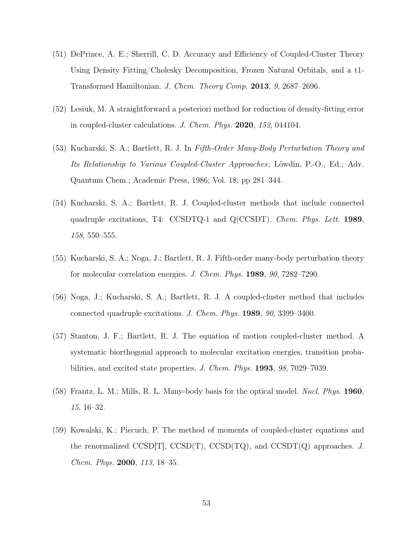- <span id="page-52-0"></span>(51) DePrince, A. E.; Sherrill, C. D. Accuracy and Efficiency of Coupled-Cluster Theory Using Density Fitting/Cholesky Decomposition, Frozen Natural Orbitals, and a t1- Transformed Hamiltonian. J. Chem. Theory Comp. 2013, 9, 2687–2696.
- <span id="page-52-1"></span>(52) Lesiuk, M. A straightforward a posteriori method for reduction of density-fitting error in coupled-cluster calculations. J. Chem. Phys. 2020, 152, 044104.
- <span id="page-52-2"></span>(53) Kucharski, S. A.; Bartlett, R. J. In Fifth-Order Many-Body Perturbation Theory and Its Relationship to Various Coupled-Cluster Approaches; Löwdin, P.-O., Ed.; Adv. Quantum Chem.; Academic Press, 1986; Vol. 18; pp 281–344.
- (54) Kucharski, S. A.; Bartlett, R. J. Coupled-cluster methods that include connected quadruple excitations, T4: CCSDTQ-1 and Q(CCSDT). Chem. Phys. Lett. 1989, 158, 550–555.
- (55) Kucharski, S. A.; Noga, J.; Bartlett, R. J. Fifth-order many-body perturbation theory for molecular correlation energies. J. Chem. Phys. 1989, 90, 7282–7290.
- <span id="page-52-3"></span>(56) Noga, J.; Kucharski, S. A.; Bartlett, R. J. A coupled-cluster method that includes connected quadruple excitations. J. Chem. Phys. 1989, 90, 3399–3400.
- <span id="page-52-4"></span>(57) Stanton, J. F.; Bartlett, R. J. The equation of motion coupled-cluster method. A systematic biorthogonal approach to molecular excitation energies, transition probabilities, and excited state properties. J. Chem. Phys. 1993, 98, 7029–7039.
- <span id="page-52-5"></span> $(58)$  Frantz, L. M.; Mills, R. L. Many-body basis for the optical model. *Nucl. Phys.* 1960, 15, 16–32.
- <span id="page-52-6"></span>(59) Kowalski, K.; Piecuch, P. The method of moments of coupled-cluster equations and the renormalized CCSD[T], CCSD(T), CCSD(TQ), and CCSDT(Q) approaches. J. Chem. Phys. 2000, 113, 18–35.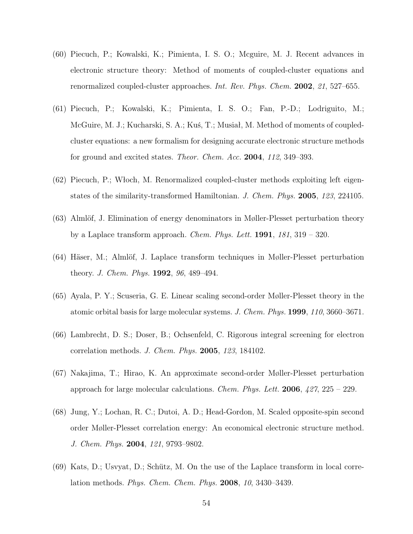- (60) Piecuch, P.; Kowalski, K.; Pimienta, I. S. O.; Mcguire, M. J. Recent advances in electronic structure theory: Method of moments of coupled-cluster equations and renormalized coupled-cluster approaches. Int. Rev. Phys. Chem. 2002, 21, 527–655.
- (61) Piecuch, P.; Kowalski, K.; Pimienta, I. S. O.; Fan, P.-D.; Lodriguito, M.; McGuire, M. J.; Kucharski, S. A.; Kuś, T.; Musiał, M. Method of moments of coupledcluster equations: a new formalism for designing accurate electronic structure methods for ground and excited states. *Theor. Chem. Acc.* **2004**, 112, 349–393.
- <span id="page-53-0"></span>(62) Piecuch, P.; Włoch, M. Renormalized coupled-cluster methods exploiting left eigenstates of the similarity-transformed Hamiltonian. J. Chem. Phys. 2005, 123, 224105.
- <span id="page-53-1"></span>(63) Almlöf, J. Elimination of energy denominators in Møller-Plesset perturbation theory by a Laplace transform approach. Chem. Phys. Lett.  $1991$ ,  $181$ ,  $319 - 320$ .
- <span id="page-53-2"></span>(64) Häser, M.; Almlöf, J. Laplace transform techniques in Møller-Plesset perturbation theory. J. Chem. Phys. 1992, 96, 489–494.
- (65) Ayala, P. Y.; Scuseria, G. E. Linear scaling second-order Møller-Plesset theory in the atomic orbital basis for large molecular systems. J. Chem. Phys. 1999, 110, 3660–3671.
- (66) Lambrecht, D. S.; Doser, B.; Ochsenfeld, C. Rigorous integral screening for electron correlation methods. J. Chem. Phys. 2005, 123, 184102.
- (67) Nakajima, T.; Hirao, K. An approximate second-order Møller-Plesset perturbation approach for large molecular calculations. *Chem. Phys. Lett.* **2006**,  $427$ ,  $225 - 229$ .
- (68) Jung, Y.; Lochan, R. C.; Dutoi, A. D.; Head-Gordon, M. Scaled opposite-spin second order Møller-Plesset correlation energy: An economical electronic structure method. J. Chem. Phys. 2004, 121, 9793–9802.
- <span id="page-53-3"></span>(69) Kats, D.; Usvyat, D.; Schütz, M. On the use of the Laplace transform in local correlation methods. Phys. Chem. Chem. Phys. 2008, 10, 3430–3439.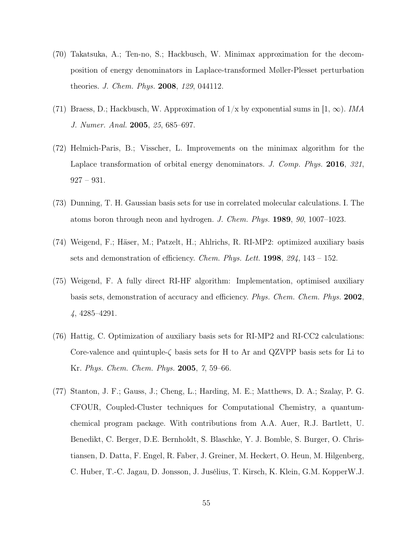- <span id="page-54-0"></span>(70) Takatsuka, A.; Ten-no, S.; Hackbusch, W. Minimax approximation for the decomposition of energy denominators in Laplace-transformed Møller-Plesset perturbation theories. J. Chem. Phys. 2008, 129, 044112.
- (71) Braess, D.; Hackbusch, W. Approximation of  $1/x$  by exponential sums in  $[1, \infty)$ . *IMA* J. Numer. Anal. 2005, 25, 685–697.
- <span id="page-54-1"></span>(72) Helmich-Paris, B.; Visscher, L. Improvements on the minimax algorithm for the Laplace transformation of orbital energy denominators. J. Comp. Phys. 2016, 321,  $927 - 931.$
- <span id="page-54-2"></span>(73) Dunning, T. H. Gaussian basis sets for use in correlated molecular calculations. I. The atoms boron through neon and hydrogen. J. Chem. Phys. 1989, 90, 1007–1023.
- <span id="page-54-3"></span>(74) Weigend, F.; Häser, M.; Patzelt, H.; Ahlrichs, R. RI-MP2: optimized auxiliary basis sets and demonstration of efficiency. *Chem. Phys. Lett.* **1998**,  $294$ , 143 – 152.
- <span id="page-54-4"></span>(75) Weigend, F. A fully direct RI-HF algorithm: Implementation, optimised auxiliary basis sets, demonstration of accuracy and efficiency. Phys. Chem. Chem. Phys. 2002, 4, 4285–4291.
- <span id="page-54-5"></span>(76) Hattig, C. Optimization of auxiliary basis sets for RI-MP2 and RI-CC2 calculations: Core-valence and quintuple- $\zeta$  basis sets for H to Ar and QZVPP basis sets for Li to Kr. Phys. Chem. Chem. Phys. 2005, 7, 59–66.
- <span id="page-54-6"></span>(77) Stanton, J. F.; Gauss, J.; Cheng, L.; Harding, M. E.; Matthews, D. A.; Szalay, P. G. CFOUR, Coupled-Cluster techniques for Computational Chemistry, a quantumchemical program package. With contributions from A.A. Auer, R.J. Bartlett, U. Benedikt, C. Berger, D.E. Bernholdt, S. Blaschke, Y. J. Bomble, S. Burger, O. Christiansen, D. Datta, F. Engel, R. Faber, J. Greiner, M. Heckert, O. Heun, M. Hilgenberg, C. Huber, T.-C. Jagau, D. Jonsson, J. Jusélius, T. Kirsch, K. Klein, G.M. KopperW.J.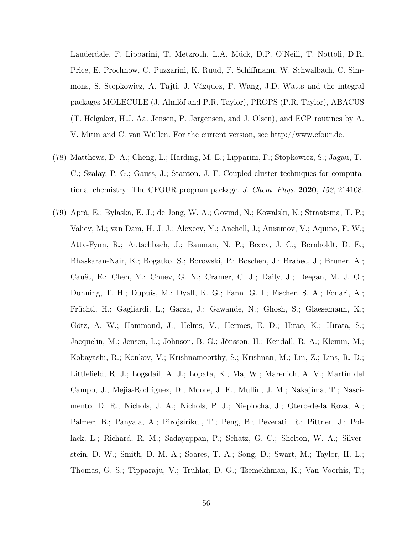Lauderdale, F. Lipparini, T. Metzroth, L.A. Mück, D.P. O'Neill, T. Nottoli, D.R. Price, E. Prochnow, C. Puzzarini, K. Ruud, F. Schiffmann, W. Schwalbach, C. Simmons, S. Stopkowicz, A. Tajti, J. Vázquez, F. Wang, J.D. Watts and the integral packages MOLECULE (J. Almlöf and P.R. Taylor), PROPS (P.R. Taylor), ABACUS (T. Helgaker, H.J. Aa. Jensen, P. Jørgensen, and J. Olsen), and ECP routines by A. V. Mitin and C. van Wüllen. For the current version, see http://www.cfour.de.

- <span id="page-55-0"></span>(78) Matthews, D. A.; Cheng, L.; Harding, M. E.; Lipparini, F.; Stopkowicz, S.; Jagau, T.- C.; Szalay, P. G.; Gauss, J.; Stanton, J. F. Coupled-cluster techniques for computational chemistry: The CFOUR program package. J. Chem. Phys. 2020, 152, 214108.
- <span id="page-55-1"></span>(79) Aprà, E.; Bylaska, E. J.; de Jong, W. A.; Govind, N.; Kowalski, K.; Straatsma, T. P.; Valiev, M.; van Dam, H. J. J.; Alexeev, Y.; Anchell, J.; Anisimov, V.; Aquino, F. W.; Atta-Fynn, R.; Autschbach, J.; Bauman, N. P.; Becca, J. C.; Bernholdt, D. E.; Bhaskaran-Nair, K.; Bogatko, S.; Borowski, P.; Boschen, J.; Brabec, J.; Bruner, A.; Cauët, E.; Chen, Y.; Chuev, G. N.; Cramer, C. J.; Daily, J.; Deegan, M. J. O.; Dunning, T. H.; Dupuis, M.; Dyall, K. G.; Fann, G. I.; Fischer, S. A.; Fonari, A.; Früchtl, H.; Gagliardi, L.; Garza, J.; Gawande, N.; Ghosh, S.; Glaesemann, K.; Götz, A. W.; Hammond, J.; Helms, V.; Hermes, E. D.; Hirao, K.; Hirata, S.; Jacquelin, M.; Jensen, L.; Johnson, B. G.; Jónsson, H.; Kendall, R. A.; Klemm, M.; Kobayashi, R.; Konkov, V.; Krishnamoorthy, S.; Krishnan, M.; Lin, Z.; Lins, R. D.; Littlefield, R. J.; Logsdail, A. J.; Lopata, K.; Ma, W.; Marenich, A. V.; Martin del Campo, J.; Mejia-Rodriguez, D.; Moore, J. E.; Mullin, J. M.; Nakajima, T.; Nascimento, D. R.; Nichols, J. A.; Nichols, P. J.; Nieplocha, J.; Otero-de-la Roza, A.; Palmer, B.; Panyala, A.; Pirojsirikul, T.; Peng, B.; Peverati, R.; Pittner, J.; Pollack, L.; Richard, R. M.; Sadayappan, P.; Schatz, G. C.; Shelton, W. A.; Silverstein, D. W.; Smith, D. M. A.; Soares, T. A.; Song, D.; Swart, M.; Taylor, H. L.; Thomas, G. S.; Tipparaju, V.; Truhlar, D. G.; Tsemekhman, K.; Van Voorhis, T.;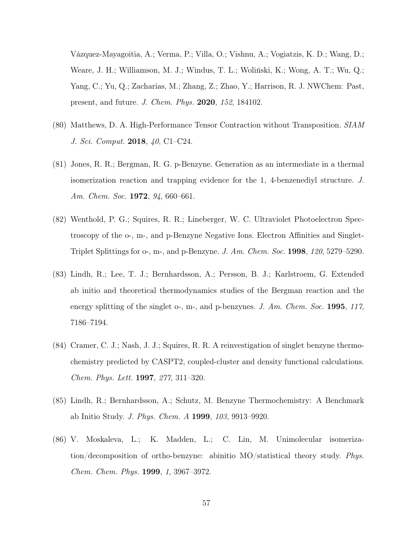Vázquez-Mayagoitia, A.; Verma, P.; Villa, O.; Vishnu, A.; Vogiatzis, K. D.; Wang, D.; Weare, J. H.; Williamson, M. J.; Windus, T. L.; Woliński, K.; Wong, A. T.; Wu, Q.; Yang, C.; Yu, Q.; Zacharias, M.; Zhang, Z.; Zhao, Y.; Harrison, R. J. NWChem: Past, present, and future. J. Chem. Phys. 2020, 152, 184102.

- <span id="page-56-0"></span>(80) Matthews, D. A. High-Performance Tensor Contraction without Transposition. SIAM J. Sci. Comput. 2018, 40, C1–C24.
- <span id="page-56-1"></span>(81) Jones, R. R.; Bergman, R. G. p-Benzyne. Generation as an intermediate in a thermal isomerization reaction and trapping evidence for the 1, 4-benzenediyl structure. J. Am. Chem. Soc. **1972**, 94, 660–661.
- <span id="page-56-2"></span>(82) Wenthold, P. G.; Squires, R. R.; Lineberger, W. C. Ultraviolet Photoelectron Spectroscopy of the o-, m-, and p-Benzyne Negative Ions. Electron Affinities and Singlet-Triplet Splittings for o-, m-, and p-Benzyne. J. Am. Chem. Soc. 1998, 120, 5279–5290.
- <span id="page-56-3"></span>(83) Lindh, R.; Lee, T. J.; Bernhardsson, A.; Persson, B. J.; Karlstroem, G. Extended ab initio and theoretical thermodynamics studies of the Bergman reaction and the energy splitting of the singlet  $\circ$ -, m-, and p-benzynes. J. Am. Chem. Soc. 1995, 117, 7186–7194.
- (84) Cramer, C. J.; Nash, J. J.; Squires, R. R. A reinvestigation of singlet benzyne thermochemistry predicted by CASPT2, coupled-cluster and density functional calculations. Chem. Phys. Lett. 1997, 277, 311–320.
- (85) Lindh, R.; Bernhardsson, A.; Schutz, M. Benzyne Thermochemistry: A Benchmark ab Initio Study. J. Phys. Chem. A 1999, 103, 9913–9920.
- <span id="page-56-4"></span>(86) V. Moskaleva, L.; K. Madden, L.; C. Lin, M. Unimolecular isomerization/decomposition of ortho-benzyne: abinitio MO/statistical theory study. Phys. Chem. Chem. Phys. 1999, 1, 3967–3972.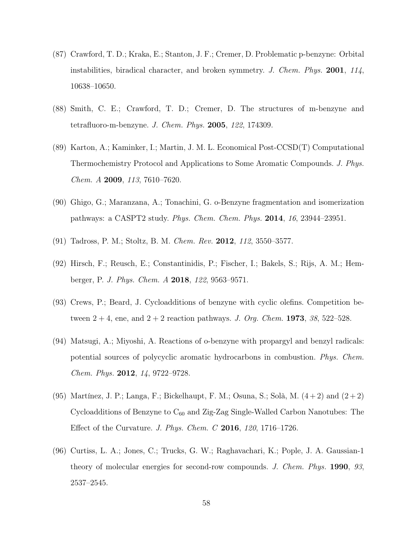- (87) Crawford, T. D.; Kraka, E.; Stanton, J. F.; Cremer, D. Problematic p-benzyne: Orbital instabilities, biradical character, and broken symmetry. J. Chem. Phys. 2001, 114, 10638–10650.
- (88) Smith, C. E.; Crawford, T. D.; Cremer, D. The structures of m-benzyne and tetrafluoro-m-benzyne. J. Chem. Phys. 2005, 122, 174309.
- <span id="page-57-6"></span>(89) Karton, A.; Kaminker, I.; Martin, J. M. L. Economical Post-CCSD(T) Computational Thermochemistry Protocol and Applications to Some Aromatic Compounds. J. Phys. Chem. A 2009, 113, 7610–7620.
- <span id="page-57-0"></span>(90) Ghigo, G.; Maranzana, A.; Tonachini, G. o-Benzyne fragmentation and isomerization pathways: a CASPT2 study. Phys. Chem. Chem. Phys. 2014, 16, 23944–23951.
- <span id="page-57-1"></span>(91) Tadross, P. M.; Stoltz, B. M. Chem. Rev. 2012, 112, 3550–3577.
- <span id="page-57-2"></span>(92) Hirsch, F.; Reusch, E.; Constantinidis, P.; Fischer, I.; Bakels, S.; Rijs, A. M.; Hemberger, P. J. Phys. Chem. A 2018, 122, 9563–9571.
- <span id="page-57-3"></span>(93) Crews, P.; Beard, J. Cycloadditions of benzyne with cyclic olefins. Competition between  $2 + 4$ , ene, and  $2 + 2$  reaction pathways. *J. Org. Chem.* **1973**, 38, 522–528.
- (94) Matsugi, A.; Miyoshi, A. Reactions of o-benzyne with propargyl and benzyl radicals: potential sources of polycyclic aromatic hydrocarbons in combustion. Phys. Chem. Chem. Phys. 2012, 14, 9722–9728.
- <span id="page-57-4"></span>(95) Martínez, J. P.; Langa, F.; Bickelhaupt, F. M.; Osuna, S.; Solà, M.  $(4+2)$  and  $(2+2)$ Cycloadditions of Benzyne to  $C_{60}$  and Zig-Zag Single-Walled Carbon Nanotubes: The Effect of the Curvature. J. Phys. Chem. C 2016, 120, 1716–1726.
- <span id="page-57-5"></span>(96) Curtiss, L. A.; Jones, C.; Trucks, G. W.; Raghavachari, K.; Pople, J. A. Gaussian-1 theory of molecular energies for second-row compounds. J. Chem. Phys. 1990, 93, 2537–2545.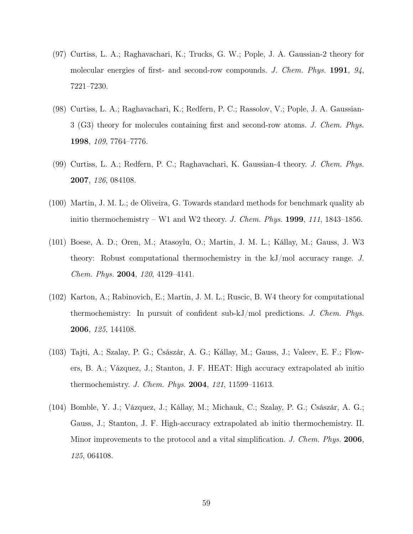- (97) Curtiss, L. A.; Raghavachari, K.; Trucks, G. W.; Pople, J. A. Gaussian-2 theory for molecular energies of first- and second-row compounds. J. Chem. Phys. 1991, 94, 7221–7230.
- (98) Curtiss, L. A.; Raghavachari, K.; Redfern, P. C.; Rassolov, V.; Pople, J. A. Gaussian-3 (G3) theory for molecules containing first and second-row atoms. J. Chem. Phys. 1998, 109, 7764–7776.
- <span id="page-58-0"></span>(99) Curtiss, L. A.; Redfern, P. C.; Raghavachari, K. Gaussian-4 theory. J. Chem. Phys. 2007, 126, 084108.
- <span id="page-58-1"></span>(100) Martin, J. M. L.; de Oliveira, G. Towards standard methods for benchmark quality ab initio thermochemistry – W1 and W2 theory. J. Chem. Phys.  $1999, 111, 1843-1856$ .
- (101) Boese, A. D.; Oren, M.; Atasoylu, O.; Martin, J. M. L.; Kállay, M.; Gauss, J. W3 theory: Robust computational thermochemistry in the kJ/mol accuracy range. J. Chem. Phys. 2004, 120, 4129–4141.
- <span id="page-58-2"></span>(102) Karton, A.; Rabinovich, E.; Martin, J. M. L.; Ruscic, B. W4 theory for computational thermochemistry: In pursuit of confident sub-kJ/mol predictions. J. Chem. Phys. 2006, 125, 144108.
- <span id="page-58-3"></span>(103) Tajti, A.; Szalay, P. G.; Császár, A. G.; Kállay, M.; Gauss, J.; Valeev, E. F.; Flowers, B. A.; Vázquez, J.; Stanton, J. F. HEAT: High accuracy extrapolated ab initio thermochemistry. J. Chem. Phys. 2004, 121, 11599-11613.
- (104) Bomble, Y. J.; Vázquez, J.; Kállay, M.; Michauk, C.; Szalay, P. G.; Császár, A. G.; Gauss, J.; Stanton, J. F. High-accuracy extrapolated ab initio thermochemistry. II. Minor improvements to the protocol and a vital simplification. J. Chem. Phys. 2006, 125, 064108.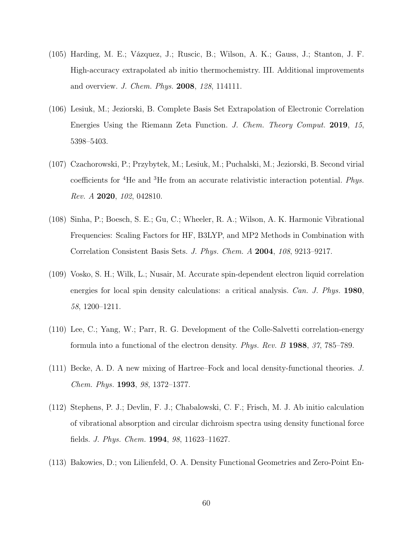- <span id="page-59-0"></span>(105) Harding, M. E.; Vázquez, J.; Ruscic, B.; Wilson, A. K.; Gauss, J.; Stanton, J. F. High-accuracy extrapolated ab initio thermochemistry. III. Additional improvements and overview. J. Chem. Phys. 2008, 128, 114111.
- <span id="page-59-1"></span>(106) Lesiuk, M.; Jeziorski, B. Complete Basis Set Extrapolation of Electronic Correlation Energies Using the Riemann Zeta Function. J. Chem. Theory Comput. 2019, 15, 5398–5403.
- <span id="page-59-2"></span>(107) Czachorowski, P.; Przybytek, M.; Lesiuk, M.; Puchalski, M.; Jeziorski, B. Second virial coefficients for <sup>4</sup>He and <sup>3</sup>He from an accurate relativistic interaction potential. Phys. Rev. A 2020, 102, 042810.
- <span id="page-59-3"></span>(108) Sinha, P.; Boesch, S. E.; Gu, C.; Wheeler, R. A.; Wilson, A. K. Harmonic Vibrational Frequencies: Scaling Factors for HF, B3LYP, and MP2 Methods in Combination with Correlation Consistent Basis Sets. J. Phys. Chem. A 2004, 108, 9213–9217.
- <span id="page-59-4"></span>(109) Vosko, S. H.; Wilk, L.; Nusair, M. Accurate spin-dependent electron liquid correlation energies for local spin density calculations: a critical analysis. Can. J. Phys. 1980, 58, 1200–1211.
- (110) Lee, C.; Yang, W.; Parr, R. G. Development of the Colle-Salvetti correlation-energy formula into a functional of the electron density. Phys. Rev. B 1988, 37, 785–789.
- (111) Becke, A. D. A new mixing of Hartree–Fock and local density-functional theories. J. Chem. Phys. 1993, 98, 1372–1377.
- <span id="page-59-5"></span>(112) Stephens, P. J.; Devlin, F. J.; Chabalowski, C. F.; Frisch, M. J. Ab initio calculation of vibrational absorption and circular dichroism spectra using density functional force fields. J. Phys. Chem. 1994, 98, 11623–11627.
- <span id="page-59-6"></span>(113) Bakowies, D.; von Lilienfeld, O. A. Density Functional Geometries and Zero-Point En-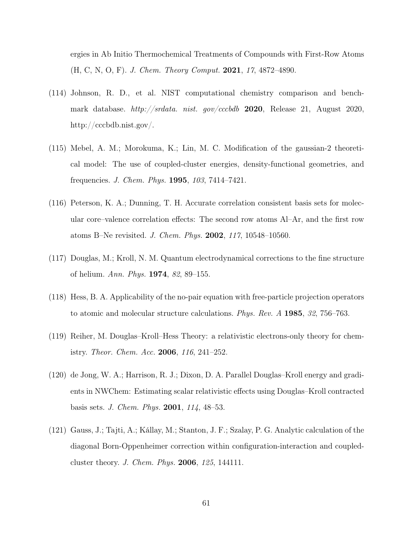ergies in Ab Initio Thermochemical Treatments of Compounds with First-Row Atoms (H, C, N, O, F). J. Chem. Theory Comput. 2021, 17, 4872–4890.

- <span id="page-60-4"></span>(114) Johnson, R. D., et al. NIST computational chemistry comparison and benchmark database. http://srdata. nist. gov/cccbdb 2020, Release 21, August 2020, http://cccbdb.nist.gov/.
- <span id="page-60-5"></span>(115) Mebel, A. M.; Morokuma, K.; Lin, M. C. Modification of the gaussian-2 theoretical model: The use of coupled-cluster energies, density-functional geometries, and frequencies. J. Chem. Phys. 1995, 103, 7414–7421.
- <span id="page-60-0"></span>(116) Peterson, K. A.; Dunning, T. H. Accurate correlation consistent basis sets for molecular core–valence correlation effects: The second row atoms Al–Ar, and the first row atoms B–Ne revisited. J. Chem. Phys. 2002, 117, 10548–10560.
- <span id="page-60-1"></span>(117) Douglas, M.; Kroll, N. M. Quantum electrodynamical corrections to the fine structure of helium. Ann. Phys. 1974, 82, 89–155.
- (118) Hess, B. A. Applicability of the no-pair equation with free-particle projection operators to atomic and molecular structure calculations. Phys. Rev. A 1985, 32, 756–763.
- <span id="page-60-2"></span>(119) Reiher, M. Douglas–Kroll–Hess Theory: a relativistic electrons-only theory for chemistry. Theor. Chem. Acc. 2006, 116, 241–252.
- <span id="page-60-3"></span>(120) de Jong, W. A.; Harrison, R. J.; Dixon, D. A. Parallel Douglas–Kroll energy and gradients in NWChem: Estimating scalar relativistic effects using Douglas–Kroll contracted basis sets. J. Chem. Phys. 2001, 114, 48–53.
- <span id="page-60-6"></span>(121) Gauss, J.; Tajti, A.; Kállay, M.; Stanton, J. F.; Szalay, P. G. Analytic calculation of the diagonal Born-Oppenheimer correction within configuration-interaction and coupledcluster theory. J. Chem. Phys. 2006, 125, 144111.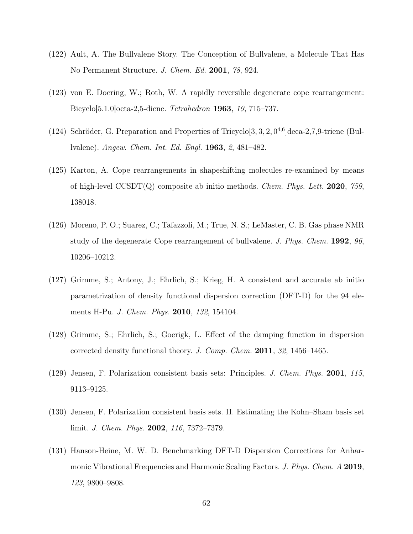- <span id="page-61-0"></span>(122) Ault, A. The Bullvalene Story. The Conception of Bullvalene, a Molecule That Has No Permanent Structure. J. Chem. Ed. 2001, 78, 924.
- <span id="page-61-1"></span>(123) von E. Doering, W.; Roth, W. A rapidly reversible degenerate cope rearrangement: Bicyclo[5.1.0]octa-2,5-diene. Tetrahedron 1963, 19, 715–737.
- <span id="page-61-2"></span>(124) Schröder, G. Preparation and Properties of Tricyclo $[3, 3, 2, 0^{4,6}]$ deca-2,7,9-triene (Bullvalene). Angew. Chem. Int. Ed. Engl. 1963, 2, 481–482.
- <span id="page-61-3"></span>(125) Karton, A. Cope rearrangements in shapeshifting molecules re-examined by means of high-level CCSDT(Q) composite ab initio methods. Chem. Phys. Lett. 2020, 759, 138018.
- <span id="page-61-4"></span>(126) Moreno, P. O.; Suarez, C.; Tafazzoli, M.; True, N. S.; LeMaster, C. B. Gas phase NMR study of the degenerate Cope rearrangement of bullvalene. J. Phys. Chem. 1992, 96, 10206–10212.
- <span id="page-61-5"></span>(127) Grimme, S.; Antony, J.; Ehrlich, S.; Krieg, H. A consistent and accurate ab initio parametrization of density functional dispersion correction (DFT-D) for the 94 elements H-Pu. *J. Chem. Phys.* **2010**, 132, 154104.
- (128) Grimme, S.; Ehrlich, S.; Goerigk, L. Effect of the damping function in dispersion corrected density functional theory. J. Comp. Chem. 2011, 32, 1456–1465.
- (129) Jensen, F. Polarization consistent basis sets: Principles. J. Chem. Phys. 2001, 115, 9113–9125.
- <span id="page-61-6"></span>(130) Jensen, F. Polarization consistent basis sets. II. Estimating the Kohn–Sham basis set limit. J. Chem. Phys. 2002, 116, 7372–7379.
- <span id="page-61-7"></span>(131) Hanson-Heine, M. W. D. Benchmarking DFT-D Dispersion Corrections for Anharmonic Vibrational Frequencies and Harmonic Scaling Factors. J. Phys. Chem. A 2019, 123, 9800–9808.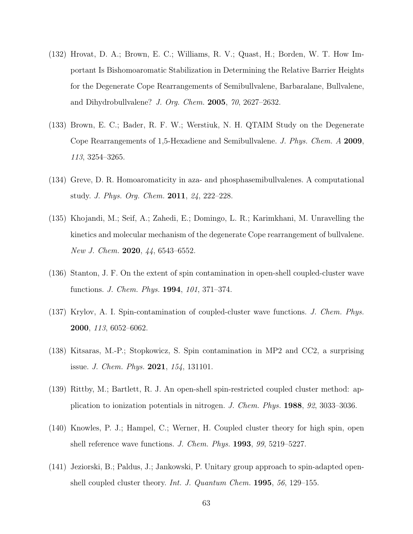- <span id="page-62-0"></span>(132) Hrovat, D. A.; Brown, E. C.; Williams, R. V.; Quast, H.; Borden, W. T. How Important Is Bishomoaromatic Stabilization in Determining the Relative Barrier Heights for the Degenerate Cope Rearrangements of Semibullvalene, Barbaralane, Bullvalene, and Dihydrobullvalene? J. Org. Chem. 2005, 70, 2627–2632.
- (133) Brown, E. C.; Bader, R. F. W.; Werstiuk, N. H. QTAIM Study on the Degenerate Cope Rearrangements of 1,5-Hexadiene and Semibullvalene. J. Phys. Chem. A 2009, 113, 3254–3265.
- (134) Greve, D. R. Homoaromaticity in aza- and phosphasemibullvalenes. A computational study. J. Phys. Org. Chem. 2011, 24, 222–228.
- <span id="page-62-1"></span>(135) Khojandi, M.; Seif, A.; Zahedi, E.; Domingo, L. R.; Karimkhani, M. Unravelling the kinetics and molecular mechanism of the degenerate Cope rearrangement of bullvalene. New J. Chem. **2020**, 44, 6543-6552.
- <span id="page-62-2"></span>(136) Stanton, J. F. On the extent of spin contamination in open-shell coupled-cluster wave functions. J. Chem. Phys. 1994, 101, 371–374.
- (137) Krylov, A. I. Spin-contamination of coupled-cluster wave functions. J. Chem. Phys. 2000, 113, 6052–6062.
- <span id="page-62-3"></span>(138) Kitsaras, M.-P.; Stopkowicz, S. Spin contamination in MP2 and CC2, a surprising issue. J. Chem. Phys. 2021, 154, 131101.
- <span id="page-62-4"></span>(139) Rittby, M.; Bartlett, R. J. An open-shell spin-restricted coupled cluster method: application to ionization potentials in nitrogen. J. Chem. Phys. 1988, 92, 3033–3036.
- (140) Knowles, P. J.; Hampel, C.; Werner, H. Coupled cluster theory for high spin, open shell reference wave functions. J. Chem. Phys. 1993, 99, 5219–5227.
- (141) Jeziorski, B.; Paldus, J.; Jankowski, P. Unitary group approach to spin-adapted openshell coupled cluster theory. Int. J. Quantum Chem.  $1995, 56, 129-155$ .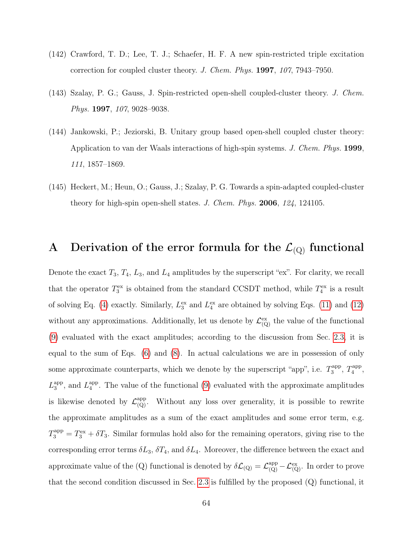- (142) Crawford, T. D.; Lee, T. J.; Schaefer, H. F. A new spin-restricted triple excitation correction for coupled cluster theory. J. Chem. Phys. 1997, 107, 7943–7950.
- (143) Szalay, P. G.; Gauss, J. Spin-restricted open-shell coupled-cluster theory. J. Chem. Phys. 1997, 107, 9028–9038.
- (144) Jankowski, P.; Jeziorski, B. Unitary group based open-shell coupled cluster theory: Application to van der Waals interactions of high-spin systems. J. Chem. Phys. 1999, 111, 1857–1869.
- <span id="page-63-1"></span>(145) Heckert, M.; Heun, O.; Gauss, J.; Szalay, P. G. Towards a spin-adapted coupled-cluster theory for high-spin open-shell states. J. Chem. Phys. 2006, 124, 124105.

## <span id="page-63-0"></span>A Derivation of the error formula for the  $\mathcal{L}_{(Q)}$  functional

Denote the exact  $T_3$ ,  $T_4$ ,  $L_3$ , and  $L_4$  amplitudes by the superscript "ex". For clarity, we recall that the operator  $T_3^{\text{ex}}$  is obtained from the standard CCSDT method, while  $T_4^{\text{ex}}$  is a result of solving Eq. [\(4\)](#page-6-0) exactly. Similarly,  $L_3^{\text{ex}}$  and  $L_4^{\text{ex}}$  are obtained by solving Eqs. [\(11\)](#page-11-0) and [\(12\)](#page-11-1) without any approximations. Additionally, let us denote by  $\mathcal{L}_{(Q)}^{\text{ex}}$  the value of the functional [\(9\)](#page-9-0) evaluated with the exact amplitudes; according to the discussion from Sec. [2.3,](#page-9-1) it is equal to the sum of Eqs. [\(6\)](#page-6-2) and [\(8\)](#page-7-1). In actual calculations we are in possession of only some approximate counterparts, which we denote by the superscript "app", i.e.  $T_3^{\text{app}}$  $\frac{1}{3}$ <sup>app</sup>,  $T_4^{\text{app}}$  $_{4}^{\rm app},$  $L_3^{\text{app}}$  $_3^{\text{app}}$ , and  $L_4^{\text{app}}$  $_4^{\text{app}}$ . The value of the functional [\(9\)](#page-9-0) evaluated with the approximate amplitudes is likewise denoted by  $\mathcal{L}_{(Q)}^{app}$ . Without any loss over generality, it is possible to rewrite the approximate amplitudes as a sum of the exact amplitudes and some error term, e.g.  $T_3^{\text{app}} = T_3^{\text{ex}} + \delta T_3$ . Similar formulas hold also for the remaining operators, giving rise to the corresponding error terms  $\delta L_3$ ,  $\delta T_4$ , and  $\delta L_4$ . Moreover, the difference between the exact and approximate value of the (Q) functional is denoted by  $\delta\mathcal{L}_{(Q)} = \mathcal{L}_{(Q)}^{app} - \mathcal{L}_{(Q)}^{ex}$ . In order to prove that the second condition discussed in Sec. [2.3](#page-9-1) is fulfilled by the proposed (Q) functional, it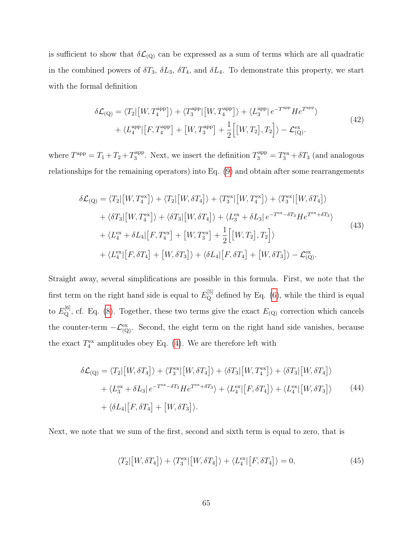is sufficient to show that  $\delta\mathcal{L}_{(Q)}$  can be expressed as a sum of terms which are all quadratic in the combined powers of  $\delta T_3$ ,  $\delta L_3$ ,  $\delta T_4$ , and  $\delta L_4$ . To demonstrate this property, we start with the formal definition

$$
\delta \mathcal{L}_{\text{(Q)}} = \langle T_2 | [W, T_4^{\text{app}}] \rangle + \langle T_3^{\text{app}} | [W, T_4^{\text{app}}] \rangle + \langle L_3^{\text{app}} | e^{-T^{\text{app}}} H e^{T^{\text{app}}} \rangle + \langle L_4^{\text{app}} | [F, T_4^{\text{app}}] + [W, T_3^{\text{app}}] + \frac{1}{2} \Big[ [W, T_2], T_2 \Big] \rangle - \mathcal{L}_{\text{(Q)}}^{\text{ex}}.
$$
\n(42)

where  $T^{\text{app}} = T_1 + T_2 + T_3^{\text{app}}$ <sup>sapp</sup>. Next, we insert the definition  $T_3^{\text{app}} = T_3^{\text{ex}} + \delta T_3$  (and analogous relationships for the remaining operators) into Eq. [\(9\)](#page-9-0) and obtain after some rearrangements

$$
\delta \mathcal{L}_{\text{(Q)}} = \langle T_2 | [W, T_4^{\text{ex}}] \rangle + \langle T_2 | [W, \delta T_4] \rangle + \langle T_3^{\text{ex}} | [W, T_4^{\text{ex}}] \rangle + \langle T_3^{\text{ex}} | [W, \delta T_4] \rangle \n+ \langle \delta T_3 | [W, T_4^{\text{ex}}] \rangle + \langle \delta T_3 | [W, \delta T_4] \rangle + \langle L_3^{\text{ex}} + \delta L_3 | e^{-T^{\text{ex}} - \delta T_3} H e^{T^{\text{ex}} + \delta T_3} \rangle \n+ \langle L_4^{\text{ex}} + \delta L_4 | [F, T_4^{\text{ex}}] + [W, T_3^{\text{ex}}] + \frac{1}{2} [ [W, T_2], T_2 ] \rangle \n+ \langle L_4^{\text{ex}} | [F, \delta T_4] + [W, \delta T_3] \rangle + \langle \delta L_4 | [F, \delta T_4] + [W, \delta T_3] \rangle - \mathcal{L}_{\text{(Q)}}^{\text{ex}}.
$$
\n(43)

Straight away, several simplifications are possible in this formula. First, we note that the first term on the right hand side is equal to  $E_{\mathbf{Q}}^{[5]}$  defined by Eq. [\(6\)](#page-6-2), while the third is equal to  $E_{\mathbf{Q}}^{[6]}$ , cf. Eq. [\(8\)](#page-7-1). Together, these two terms give the exact  $E_{\mathbf{Q}}$  correction which cancels the counter-term  $-\mathcal{L}_{(Q)}^{\text{ex}}$ . Second, the eight term on the right hand side vanishes, because the exact  $T_4^{\text{ex}}$  amplitudes obey Eq. [\(4\)](#page-6-0). We are therefore left with

$$
\delta \mathcal{L}_{\text{(Q)}} = \langle T_2 | [W, \delta T_4] \rangle + \langle T_3^{\text{ex}} | [W, \delta T_4] \rangle + \langle \delta T_3 | [W, T_4^{\text{ex}}] \rangle + \langle \delta T_3 | [W, \delta T_4] \rangle
$$
  
+  $\langle L_3^{\text{ex}} + \delta L_3 | e^{-T^{\text{ex}} - \delta T_3} H e^{T^{\text{ex}} + \delta T_3} \rangle + \langle L_4^{\text{ex}} | [F, \delta T_4] \rangle + \langle L_4^{\text{ex}} | [W, \delta T_3] \rangle$  (44)  
+  $\langle \delta L_4 | [F, \delta T_4] + [W, \delta T_3] \rangle.$ 

Next, we note that we sum of the first, second and sixth term is equal to zero, that is

$$
\langle T_2 | [W, \delta T_4] \rangle + \langle T_3^{\text{ex}} | [W, \delta T_4] \rangle + \langle L_4^{\text{ex}} | [F, \delta T_4] \rangle = 0, \tag{45}
$$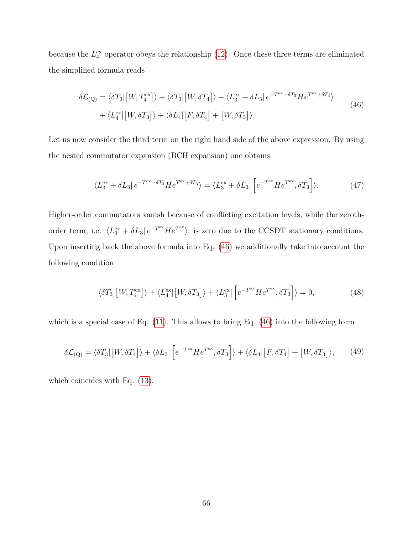because the  $L_4^{\text{ex}}$  operator obeys the relationship [\(12\)](#page-11-1). Once these three terms are eliminated the simplified formula reads

$$
\delta \mathcal{L}_{\text{(Q)}} = \langle \delta T_3 | [W, T_4^{\text{ex}}] \rangle + \langle \delta T_3 | [W, \delta T_4] \rangle + \langle L_3^{\text{ex}} + \delta L_3 | e^{-T^{\text{ex}} - \delta T_3} H e^{T^{\text{ex}} + \delta T_3} \rangle + \langle L_4^{\text{ex}} | [W, \delta T_3] \rangle + \langle \delta L_4 | [F, \delta T_4] + [W, \delta T_3] \rangle.
$$
\n(46)

Let us now consider the third term on the right hand side of the above expression. By using the nested commutator expansion (BCH expansion) one obtains

<span id="page-65-0"></span>
$$
\langle L_3^{\rm ex} + \delta L_3 | e^{-T^{\rm ex} - \delta T_3} H e^{T^{\rm ex} + \delta T_3} \rangle = \langle L_3^{\rm ex} + \delta L_3 | \left[ e^{-T^{\rm ex}} H e^{T^{\rm ex}}, \delta T_3 \right] \rangle. \tag{47}
$$

Higher-order commutators vanish because of conflicting excitation levels, while the zerothorder term, i.e.  $\langle L_3^{\rm ex} + \delta L_3 | e^{-T^{\rm ex}} H e^{T^{\rm ex}} \rangle$ , is zero due to the CCSDT stationary conditions. Upon inserting back the above formula into Eq. [\(46\)](#page-65-0) we additionally take into account the following condition

$$
\langle \delta T_3 | [W, T_4^{\text{ex}}] \rangle + \langle L_4^{\text{ex}} | [W, \delta T_3] \rangle + \langle L_3^{\text{ex}} | \left[ e^{-T^{\text{ex}}} H e^{T^{\text{ex}}}, \delta T_3 \right] \rangle = 0, \tag{48}
$$

which is a special case of Eq. [\(11\)](#page-11-0). This allows to bring Eq. [\(46\)](#page-65-0) into the following form

$$
\delta \mathcal{L}_{\text{(Q)}} = \langle \delta T_3 | [W, \delta T_4] \rangle + \langle \delta L_3 | \left[ e^{-T^{\text{ex}}} H e^{T^{\text{ex}}}, \delta T_3 \right] \rangle + \langle \delta L_4 | [F, \delta T_4] + [W, \delta T_3] \rangle, \tag{49}
$$

which coincides with Eq. [\(13\)](#page-11-2).